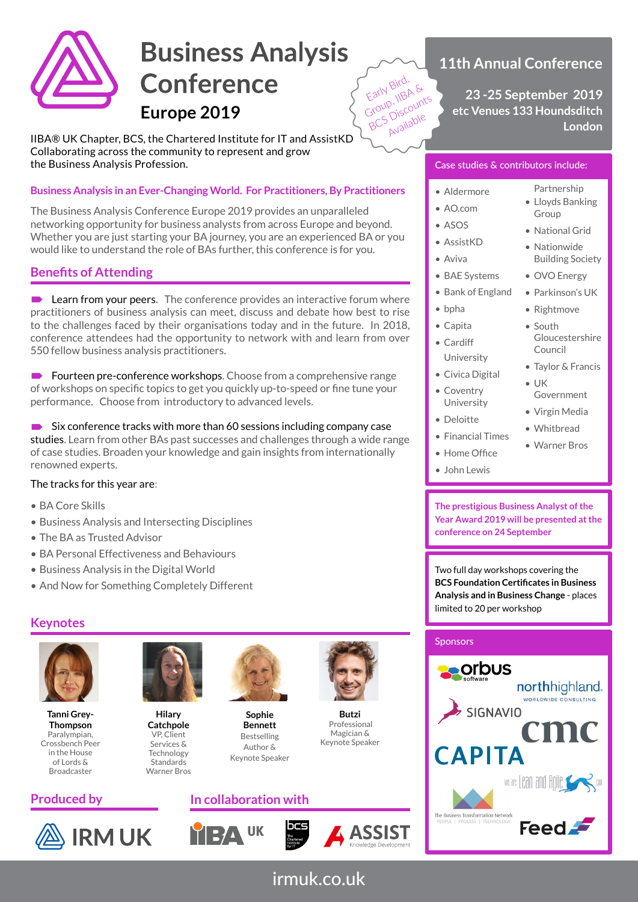

# **Business Analysis Conference Europe 2019**

IIBA® UK Chapter, BCS, the Chartered Institute for IT and AssistKD Collaborating across the community to represent and grow the Business Analysis Profession.

# **Business Analysis in an Ever-Changing World. For Practitioners, By Practitioners**

The Business Analysis Conference Europe 2019 provides an unparalleled networking opportunity for business analysts from across Europe and beyond. Whether you are just starting your BA journey, you are an experienced BA or you would like to understand the role of BAs further, this conference is for you.

# **Benefits of Attending**

**Learn from your peers.** The conference provides an interactive forum where practitioners of business analysis can meet, discuss and debate how best to rise to the challenges faced by their organisations today and in the future. In 2018, conference attendees had the opportunity to network with and learn from over 550 fellow business analysis practitioners.

 $\blacksquare$  Fourteen pre-conference workshops. Choose from a comprehensive range of workshops on specific topics to get you quickly up-to-speed or fine tune your performance. Choose from introductory to advanced levels.

 $\rightarrow$  Six conference tracks with more than 60 sessions including company case studies. Learn from other BAs past successes and challenges through a wide range of case studies. Broaden your knowledge and gain insights from internationally renowned experts.

## The tracks for this year are:

- BA Core Skills
- Business Analysis and Intersecting Disciplines
- The BA as Trusted Advisor
- BA Personal Effectiveness and Behaviours
- Business Analysis in the Digital World
- And Now for Something Completely Different

# **Keynotes**



**Tanni Grey-Thompson** Paralympian, Crossbench Peer in the House of Lords & Broadcaster

**IRM UK** 



**Hilary Catchpole** VP, Client Services & **Technology Standards** Warner Bros



**Sophie Bennett** Bestselling Author & Keynote Speaker

# **Produced by In collaboration with**





**Butzi** Professional Magician & Keynote Speaker

# **11th Annual Conference**

**23 -25 September 2019 etc Venues 133 Houndsditch London**

## Case studies & contributors include:

• Aldermore

Early Bird, &<br>Early Bird, &<br>Group, liscount Early Bird,<br>Early Bird,<br>Group, IIBA &<br>BCS Discounts

Available

- AO.com
- ASOS
- AssistKD
- Aviva
- BAE Systems
- Bank of England
- bpha
- Capita
- Cardiff University
- Civica Digital
- Coventry University
- Deloitte
- Financial Times
- Home Office
- John Lewis

**The prestigious Business Analyst of the Year Award 2019 will be presented at the conference on 24 September**

Two full day workshops covering the **BCS Foundation Certificates in Business Analysis and in Business Change** - places limited to 20 per workshop

## **Sponsors**



irmuk.co.uk

• Lloyds Banking Group

Partnership

- National Grid • Nationwide
- Building Society
- OVO Energy
- Parkinson's UK
- Rightmove
- South Gloucestershire Council
- Taylor & Francis
- $\blacksquare$  UK Government
- Virgin Media
- Whitbread
- Warner Bros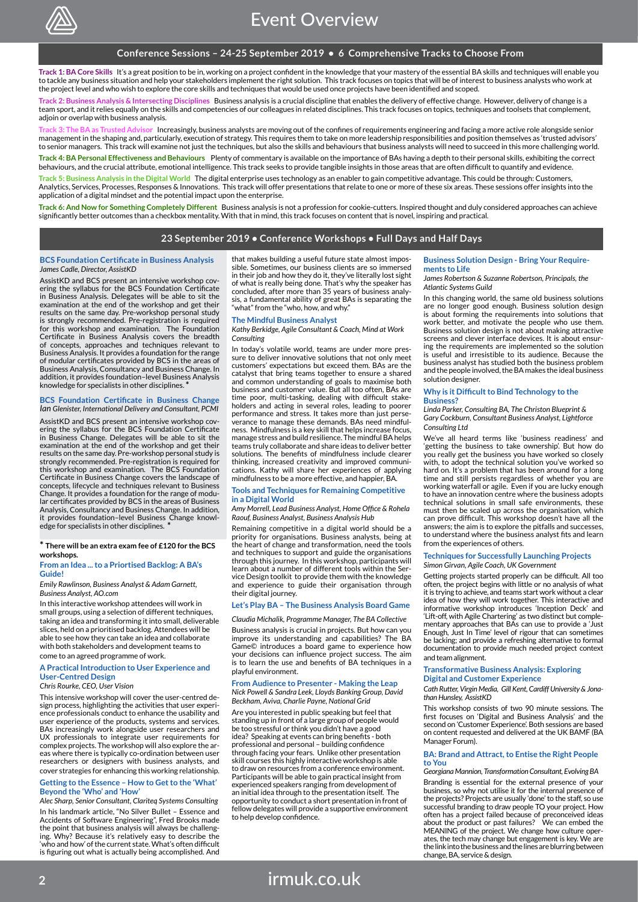

#### **Conference Sessions – 24-25 September 2019 • 6 Comprehensive Tracks to Choose From**

**Track 1: BA Core Skills** It's a great position to be in, working on a project confident in the knowledge that your mastery of the essential BA skills and techniques will enable you to tackle any business situation and help your stakeholders implement the right solution. This track focuses on topics that will be of interest to business analysts who work at the project level and who wish to explore the core skills and techniques that would be used once projects have been identified and scoped.

**Track 2: Business Analysis & Intersecting Disciplines** Business analysis is a crucial discipline that enables the delivery of effective change. However, delivery of change is a team sport, and it relies equally on the skills and competencies of our colleagues in related disciplines. This track focuses on topics, techniques and toolsets that complement, adioin or overlap with business analysis.

usted Advisor Increasingly, business analysts are moving out of the confines of requirements engineering and facing a more active role alongside senior management in the shaping and, particularly, execution of strategy. This requires them to take on more leadership responsibilities and position themselves as 'trusted advisors' to senior managers. This track will examine not just the techniques, but also the skills and behaviours that business analysts will need to succeed in this more challenging world.

**Track 4: BA Personal Effectiveness and Behaviours** Plenty of commentary is available on the importance of BAs having a depth to their personal skills, exhibiting the correct behaviours, and the crucial attribute, emotional intelligence. This track seeks to provide tangible insights in those areas that are often difficult to quantify and evidence.

**Track 5: Business Analysis in the Digital World** The digital enterprise uses technology as an enabler to gain competitive advantage. This could be through: Customers, Analytics, Services, Processes, Responses & Innovations. This track will offer presentations that relate to one or more of these six areas. These sessions offer insights into the application of a digital mindset and the potential impact upon the enterprise.

**Track 6: And Now for Something Completely Different** Business analysis is not a profession for cookie-cutters. Inspired thought and duly considered approaches can achieve significantly better outcomes than a checkbox mentality. With that in mind, this track focuses on content that is novel, inspiring and practical.

#### **23 September 2019 • Conference Workshops • Full Days and Half Days**

#### **BCS Foundation Certificate in Business Analysis** *James Cadle, Director, AssistKD*

AssistKD and BCS present an intensive workshop covering the syllabus for the BCS Foundation Certificate in Business Analysis. Delegates will be able to sit the examination at the end of the workshop and get their results on the same day. Pre-workshop personal study is strongly recommended. Pre-registration is required for this workshop and examination. The Foundation Certificate in Business Analysis covers the breadth of concepts, approaches and techniques relevant to Business Analysis. It provides a foundation for the range of modular certificates provided by BCS in the areas of Business Analysis, Consultancy and Business Change. In addition, it provides foundation–level Business Analysis knowledge for specialists in other disciplines. **\***

#### **BCS Foundation Certificate in Business Change** *Ian Glenister, International Delivery and Consultant, PCMI*

AssistKD and BCS present an intensive workshop covering the syllabus for the BCS Foundation Certificate in Business Change. Delegates will be able to sit the examination at the end of the workshop and get their results on the same day. Pre-workshop personal study is strongly recommended. Pre-registration is required for this workshop and examination. The BCS Foundation Certificate in Business Change covers the landscape of concepts, lifecycle and techniques relevant to Business Change. It provides a foundation for the range of modular certificates provided by BCS in the areas of Business Analysis, Consultancy and Business Change. In addition, it provides foundation–level Business Change knowledge for specialists in other disciplines. **\***

#### **\* There will be an extra exam fee of £120 for the BCS workshops.**

#### **From an Idea ... to a Priortised Backlog: A BA's Guide!**

*Emily Rawlinson, Business Analyst & Adam Garnett, Business Analyst, AO.com*

In this interactive workshop attendees will work in small groups, using a selection of different techniques, taking an idea and transforming it into small, deliverable slices, held on a prioritised backlog. Attendees will be able to see how they can take an idea and collaborate with both stakeholders and development teams to come to an agreed programme of work.

#### **A Practical Introduction to User Experience and User-Centred Design**

#### *Chris Rourke, CEO, User Vision*

This intensive workshop will cover the user-centred design process, highlighting the activities that user experi-ence professionals conduct to enhance the usability and user experience of the products, systems and services. BAs increasingly work alongside user researchers and UX professionals to integrate user requirements for complex projects. The workshop will also explore the areas where there is typically co-ordination between user researchers or designers with business analysts, and cover strategies for enhancing this working relationship.

#### **Getting to the Essence – How to Get to the 'What' Beyond the 'Who' and 'How'**

*Alec Sharp, Senior Consultant, Clariteq Systems Consulting* In his landmark article, "No Silver Bullet – Essence and Accidents of Software Engineering", Fred Brooks made the point that business analysis will always be challenging. Why? Because it's relatively easy to describe the 'who and how' of the current state. What's often difficult is figuring out what is actually being accomplished. And

that makes building a useful future state almost impossible. Sometimes, our business clients are so immersed in their job and how they do it, they've literally lost sight of what is really being done. That's why the speaker has concluded, after more than 35 years of business analysis, a fundamental ability of great BAs is separating the "what" from the "who, how, and why."

#### **The Mindful Business Analyst**

*Kathy Berkidge, Agile Consultant & Coach, Mind at Work Consulting*

In today's volatile world, teams are under more pressure to deliver innovative solutions that not only meet customers' expectations but exceed them. BAs are the catalyst that bring teams together to ensure a shared and common understanding of goals to maximise both business and customer value. But all too often, BAs are time poor, multi-tasking, dealing with difficult stake-holders and acting in several roles, leading to poorer performance and stress. It takes more than just perseverance to manage these demands. BAs need mindful-ness. Mindfulness is a key skill that helps increase focus, manage stress and build resilience. The mindful BA helps teams truly collaborate and share ideas to deliver better solutions. The benefits of mindfulness include clearer thinking, increased creativity and improved communications. Kathy will share her experiences of applying mindfulness to be a more effective, and happier, BA.

#### **Tools and Techniques for Remaining Competitive in a Digital World**

*Amy Morrell, Lead Business Analyst, Home Office & Rohela Raouf, Business Analyst, Business Analysis Hub*

Remaining competitive in a digital world should be a priority for organisations. Business analysts, being at the heart of change and transformation, need the tools and techniques to support and guide the organisations through this journey. In this workshop, participants will learn about a number of different tools within the Service Design toolkit to provide them with the knowledge and experience to guide their organisation through their digital journey.

#### **Let's Play BA – The Business Analysis Board Game**

*Claudia Michalik, Programme Manager, The BA Collective* 

Business analysis is crucial in projects. But how can you improve its understanding and capabilities? The BA Game© introduces a board game to experience how your decisions can influence project success. The aim is to learn the use and benefits of BA techniques in a playful environment.

#### **From Audience to Presenter - Making the Leap** *Nick Powell & Sandra Leek, Lloyds Banking Group, David Beckham, Aviva, Charlie Payne, National Grid*

Are you interested in public speaking but feel that standing up in front of a large group of people would be too stressful or think you didn't have a good idea? Speaking at events can bring benefits - both professional and personal – building confidence through facing your fears. Unlike other presentation skill courses this highly interactive workshop is able to draw on resources from a conference environment. Participants will be able to gain practical insight from experienced speakers ranging from development of an initial idea through to the presentation itself. The opportunity to conduct a short presentation in front of fellow delegates will provide a supportive environment to help develop confidence.

#### **Business Solution Design - Bring Your Requirements to Life**

*James Robertson & Suzanne Robertson, Principals, the Atlantic Systems Guild*

In this changing world, the same old business solutions are no longer good enough. Business solution design is about forming the requirements into solutions that work better, and motivate the people who use them. Business solution design is not about making attractive screens and clever interface devices. It is about ensuring the requirements are implemented so the solution is useful and irresistible to its audience. Because the business analyst has studied both the business problem and the people involved, the BA makes the ideal business solution designer.

#### **Why is it Difficult to Bind Technology to the Business?**

*Linda Parker, Consulting BA, The Christon Blueprint & Gary Cockburn, Consultant Business Analyst, Lightforce Consulting Ltd*

We've all heard terms like 'business readiness' and 'getting the business to take ownership'. But how do you really get the business you have worked so closely with, to adopt the technical solution you've worked so hard on. It's a problem that has been around for a long time and still persists regardless of whether you are working waterfall or agile. Even if you are lucky enough to have an innovation centre where the business adopts technical solutions in small safe environments, these must then be scaled up across the organisation, which can prove difficult. This workshop doesn't have all the answers; the aim is to explore the pitfalls and successes, to understand where the business analyst fits and learn from the experiences of others.

#### **Techniques for Successfully Launching Projects** *Simon Girvan, Agile Coach, UK Government*

Getting projects started properly can be difficult. All too often, the project begins with little or no analysis of what it is trying to achieve, and teams start work without a clear idea of how they will work together. This interactive and informative workshop introduces 'Inception Deck' and 'Lift-off, with Agile Chartering' as two distinct but complementary approaches that BAs can use to provide a 'Just Enough, Just In Time' level of rigour that can sometimes be lacking; and provide a refreshing alternative to formal documentation to provide much needed project context and team alignment.

#### **Transformative Business Analysis: Exploring Digital and Customer Experience**

*Cath Rutter, Virgin Media, Gill Kent, Cardiff University & Jonathan Hunsley, AssistKD*

This workshop consists of two 90 minute sessions. The first focuses on 'Digital and Business Analysis' and the second on 'Customer Experience'. Both sessions are based on content requested and delivered at the UK BAMF (BA Manager Forum).

#### **BA: Brand and Attract, to Entise the Right People to You**

#### *Georgiana Mannion, Transformation Consultant, Evolving BA*

Branding is essential for the external presence of your business, so why not utilise it for the internal presence of the projects? Projects are usually 'done' to the staff, so use successful branding to draw people TO your project. How often has a project failed because of preconceived ideas about the product or past failures? We can embed the MEANING of the project. We change how culture oper-ates, the tech may change but engagement is key. We are the link into the business and the lines are blurring between change, BA, service & design.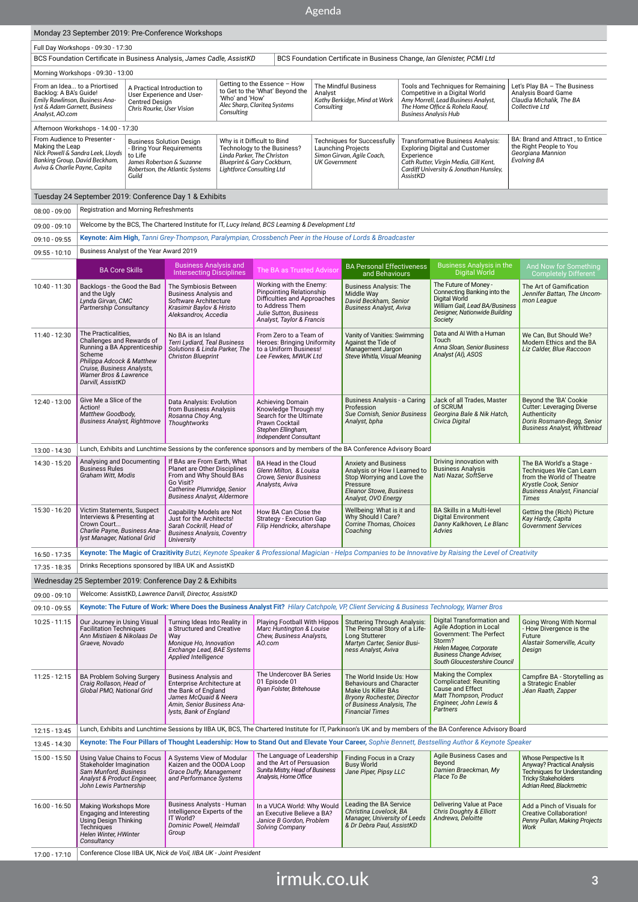# Agenda

|                                                                                                                                                                                                    |                                                                                                                                                                                                     |                                                                                                                                                | Monday 23 September 2019: Pre-Conference Workshops                                                                                                                       |                                                                                                                                                     |                                                                                                                                                              |                                                                                                                |                                                                                                                                                                 |                                                                                                                                                                                                |                                                                                                                                                                                          |                                                                                                                                                        |                                                                                                                                                |  |
|----------------------------------------------------------------------------------------------------------------------------------------------------------------------------------------------------|-----------------------------------------------------------------------------------------------------------------------------------------------------------------------------------------------------|------------------------------------------------------------------------------------------------------------------------------------------------|--------------------------------------------------------------------------------------------------------------------------------------------------------------------------|-----------------------------------------------------------------------------------------------------------------------------------------------------|--------------------------------------------------------------------------------------------------------------------------------------------------------------|----------------------------------------------------------------------------------------------------------------|-----------------------------------------------------------------------------------------------------------------------------------------------------------------|------------------------------------------------------------------------------------------------------------------------------------------------------------------------------------------------|------------------------------------------------------------------------------------------------------------------------------------------------------------------------------------------|--------------------------------------------------------------------------------------------------------------------------------------------------------|------------------------------------------------------------------------------------------------------------------------------------------------|--|
| Full Day Workshops - 09:30 - 17:30                                                                                                                                                                 |                                                                                                                                                                                                     |                                                                                                                                                |                                                                                                                                                                          |                                                                                                                                                     |                                                                                                                                                              |                                                                                                                |                                                                                                                                                                 |                                                                                                                                                                                                |                                                                                                                                                                                          |                                                                                                                                                        |                                                                                                                                                |  |
| BCS Foundation Certificate in Business Analysis, James Cadle, AssistKD<br>BCS Foundation Certificate in Business Change, Ian Glenister, PCMI Ltd                                                   |                                                                                                                                                                                                     |                                                                                                                                                |                                                                                                                                                                          |                                                                                                                                                     |                                                                                                                                                              |                                                                                                                |                                                                                                                                                                 |                                                                                                                                                                                                |                                                                                                                                                                                          |                                                                                                                                                        |                                                                                                                                                |  |
|                                                                                                                                                                                                    | Morning Workshops - 09:30 - 13:00                                                                                                                                                                   |                                                                                                                                                |                                                                                                                                                                          |                                                                                                                                                     |                                                                                                                                                              |                                                                                                                |                                                                                                                                                                 |                                                                                                                                                                                                |                                                                                                                                                                                          |                                                                                                                                                        |                                                                                                                                                |  |
| From an Idea to a Priortised<br>Backlog: A BA's Guide!<br>Emily Rawlinson, Business Ana-<br><b>Centred Design</b><br>lyst & Adam Garnett, Business<br>Chris Rourke, User Vision<br>Analyst, AO.com |                                                                                                                                                                                                     | A Practical Introduction to<br>User Experience and User-                                                                                       | Consulting                                                                                                                                                               | Getting to the Essence - How<br>to Get to the 'What' Bevond the<br>'Who' and 'How'<br>Alec Sharp, Clariteg Systems                                  |                                                                                                                                                              | The Mindful Business<br>Analyst<br>Kathy Berkidge, Mind at Work<br>Consulting                                  |                                                                                                                                                                 | Tools and Techniques for Remaining<br>Competitive in a Digital World<br>Amy Morrell, Lead Business Analyst,<br>The Home Office & Rohela Raouf,<br><b>Business Analysis Hub</b>                 |                                                                                                                                                                                          | Let's Play BA - The Business<br>Analysis Board Game<br>Claudia Michalik. The BA<br>Collective Ltd                                                      |                                                                                                                                                |  |
|                                                                                                                                                                                                    | Afternoon Workshops - 14:00 - 17:30                                                                                                                                                                 |                                                                                                                                                |                                                                                                                                                                          |                                                                                                                                                     |                                                                                                                                                              |                                                                                                                |                                                                                                                                                                 |                                                                                                                                                                                                |                                                                                                                                                                                          |                                                                                                                                                        |                                                                                                                                                |  |
| From Audience to Presenter -<br>Making the Leap<br>Nick Powell & Sandra Leek, Lloyds<br>Banking Group, David Beckham,<br>Aviva & Charlie Payne, Capita                                             |                                                                                                                                                                                                     | <b>Business Solution Design</b><br>Bring Your Requirements<br>to Life<br>James Robertson & Suzanne<br>Robertson, the Atlantic Systems<br>Guild |                                                                                                                                                                          | Why is it Difficult to Bind<br>Technology to the Business?<br>Linda Parker. The Christon<br>Blueprint & Gary Cockburn,<br>Lightforce Consulting Ltd |                                                                                                                                                              | <b>Techniques for Successfully</b><br>Launching Projects<br>Simon Girvan, Agile Coach,<br><b>UK Government</b> |                                                                                                                                                                 | <b>Transformative Business Analysis:</b><br><b>Exploring Digital and Customer</b><br>Experience<br>Cath Rutter, Virgin Media, Gill Kent,<br>Cardiff University & Jonathan Hunsley,<br>AssistKD |                                                                                                                                                                                          | BA: Brand and Attract, to Entice<br>the Right People to You<br>Georgiana Mannion<br><b>Evolving BA</b>                                                 |                                                                                                                                                |  |
| Tuesday 24 September 2019: Conference Day 1 & Exhibits                                                                                                                                             |                                                                                                                                                                                                     |                                                                                                                                                |                                                                                                                                                                          |                                                                                                                                                     |                                                                                                                                                              |                                                                                                                |                                                                                                                                                                 |                                                                                                                                                                                                |                                                                                                                                                                                          |                                                                                                                                                        |                                                                                                                                                |  |
| $08:00 - 09:00$                                                                                                                                                                                    | Registration and Morning Refreshments                                                                                                                                                               |                                                                                                                                                |                                                                                                                                                                          |                                                                                                                                                     |                                                                                                                                                              |                                                                                                                |                                                                                                                                                                 |                                                                                                                                                                                                |                                                                                                                                                                                          |                                                                                                                                                        |                                                                                                                                                |  |
| $09:00 - 09:10$                                                                                                                                                                                    | Welcome by the BCS, The Chartered Institute for IT, Lucy Ireland, BCS Learning & Development Ltd                                                                                                    |                                                                                                                                                |                                                                                                                                                                          |                                                                                                                                                     |                                                                                                                                                              |                                                                                                                |                                                                                                                                                                 |                                                                                                                                                                                                |                                                                                                                                                                                          |                                                                                                                                                        |                                                                                                                                                |  |
| $09:10 - 09:55$                                                                                                                                                                                    | Keynote: Aim High, Tanni Grey-Thompson, Paralympian, Crossbench Peer in the House of Lords & Broadcaster                                                                                            |                                                                                                                                                |                                                                                                                                                                          |                                                                                                                                                     |                                                                                                                                                              |                                                                                                                |                                                                                                                                                                 |                                                                                                                                                                                                |                                                                                                                                                                                          |                                                                                                                                                        |                                                                                                                                                |  |
| $09:55 - 10:10$                                                                                                                                                                                    | Business Analyst of the Year Award 2019                                                                                                                                                             |                                                                                                                                                |                                                                                                                                                                          |                                                                                                                                                     |                                                                                                                                                              |                                                                                                                |                                                                                                                                                                 |                                                                                                                                                                                                |                                                                                                                                                                                          |                                                                                                                                                        |                                                                                                                                                |  |
|                                                                                                                                                                                                    |                                                                                                                                                                                                     |                                                                                                                                                | <b>Business Analysis and</b>                                                                                                                                             |                                                                                                                                                     |                                                                                                                                                              |                                                                                                                |                                                                                                                                                                 |                                                                                                                                                                                                | <b>Business Analysis in the</b>                                                                                                                                                          |                                                                                                                                                        |                                                                                                                                                |  |
|                                                                                                                                                                                                    | <b>BA Core Skills</b>                                                                                                                                                                               |                                                                                                                                                | <b>Intersecting Disciplines</b>                                                                                                                                          |                                                                                                                                                     | The BA as Trusted Advisor                                                                                                                                    |                                                                                                                | <b>BA Personal Effectiveness</b><br>and Behaviours                                                                                                              |                                                                                                                                                                                                | <b>Digital World</b>                                                                                                                                                                     |                                                                                                                                                        | And Now for Something<br><b>Completely Different</b>                                                                                           |  |
| 10:40 - 11:30                                                                                                                                                                                      | Backlogs - the Good the Bad<br>and the Ugly<br>Lvnda Girvan, CMC<br>Partnership Consultancy                                                                                                         |                                                                                                                                                | The Symbiosis Between<br><b>Business Analysis and</b><br>Software Architecture<br>Krasimir Baylov & Hristo<br>Aleksandrov, Accedia                                       |                                                                                                                                                     | Working with the Enemy:<br>Pinpointing Relationship<br>Difficulties and Approaches<br>to Address Them<br>Julie Sutton, Business<br>Analyst, Taylor & Francis |                                                                                                                | <b>Business Analysis: The</b><br>Middle Way<br>David Beckham, Senior<br><b>Business Analyst, Aviva</b>                                                          |                                                                                                                                                                                                | The Future of Money -<br>Connecting Banking into the<br>Digital World<br>William Gall, Lead BA/Business<br>Designer, Nationwide Building<br>Society                                      |                                                                                                                                                        | The Art of Gamification<br>Jennifer Battan, The Uncom-<br>mon League                                                                           |  |
| 11:40 - 12:30                                                                                                                                                                                      | The Practicalities,<br>Challenges and Rewards of<br>Running a BA Apprenticeship<br>Scheme<br>Philippa Adcock & Matthew<br>Cruise, Business Analysts,<br>Warner Bros & Lawrence<br>Darvill, AssistKD |                                                                                                                                                | No BA is an Island<br>Terri Lydiard, Teal Business<br>Solutions & Linda Parker, The<br><b>Christon Blueprint</b>                                                         |                                                                                                                                                     | From Zero to a Team of<br>Heroes: Bringing Uniformity<br>to a Uniform Business!<br>Lee Fewkes, MWUK Ltd                                                      |                                                                                                                | Vanity of Vanities: Swimming<br>Against the Tide of<br>Management Jargon<br>Steve Whitla, Visual Meaning                                                        |                                                                                                                                                                                                | Data and AI With a Human<br>Touch<br>Anna Sloan, Senior Business<br>Analyst (AI), ASOS                                                                                                   |                                                                                                                                                        | We Can, But Should We?<br>Modern Ethics and the BA<br>Liz Calder, Blue Raccoon                                                                 |  |
| 12:40 - 13:00                                                                                                                                                                                      | Give Me a Slice of the<br>Action!<br>Matthew Goodbody,<br><b>Business Analyst, Rightmove</b>                                                                                                        |                                                                                                                                                | Data Analysis: Evolution<br>from Business Analysis<br>Rosanna Choy Ang,<br>Thoughtworks                                                                                  |                                                                                                                                                     | Achieving Domain<br>Knowledge Through my<br>Search for the Ultimate<br>Prawn Cocktail<br>Stephen Ellingham,<br>Independent Consultant                        |                                                                                                                | Business Analysis - a Caring<br>Profession<br>Sue Cornish, Senior Business<br>Analyst, bpha                                                                     |                                                                                                                                                                                                | Jack of all Trades, Master<br>of SCRUM<br>Georgina Bale & Nik Hatch,<br>Civica Digital                                                                                                   | Authenticity                                                                                                                                           | Beyond the 'BA' Cookie<br><b>Cutter: Leveraging Diverse</b><br>Doris Rosmann-Begg, Senior<br><b>Business Analyst, Whitbread</b>                |  |
| 13:00 - 14:30                                                                                                                                                                                      |                                                                                                                                                                                                     |                                                                                                                                                |                                                                                                                                                                          |                                                                                                                                                     | Lunch, Exhibits and Lunchtime Sessions by the conference sponsors and by members of the BA Conference Advisory Board                                         |                                                                                                                |                                                                                                                                                                 |                                                                                                                                                                                                |                                                                                                                                                                                          |                                                                                                                                                        |                                                                                                                                                |  |
| 14:30 - 15:20                                                                                                                                                                                      | Analysing and Documenting<br><b>Business Rules</b><br>Graham Witt, Modis                                                                                                                            |                                                                                                                                                | If BAs are From Earth, What<br>Planet are Other Disciplines<br>From and Why Should BAs<br>Go Visit?<br>Catherine Plumridge, Senior<br><b>Business Analyst, Aldermore</b> |                                                                                                                                                     | BA Head in the Cloud<br>Glenn Milton, & Louisa<br>Crowe, Senior Business<br>Analysts, Aviva                                                                  |                                                                                                                | <b>Anxiety and Business</b><br>Analysis or How I Learned to<br>Stop Worrying and Love the<br>Pressure<br>Eleanor Stowe, Business<br>Analyst, OVO Energy         |                                                                                                                                                                                                | Driving innovation with<br><b>Business Analysis</b><br>Nati Nazar, SoftServe                                                                                                             | Times                                                                                                                                                  | The BA World's a Stage -<br>Techniques We Can Learn<br>from the World of Theatre<br>Krystle Cook, Senior<br><b>Business Analyst, Financial</b> |  |
| 15:30 - 16:20                                                                                                                                                                                      | Victim Statements, Suspect<br>Interviews & Presenting at<br>Crown Court<br>Charlie Payne, Business Ana-<br>Iyst Manager, National Grid                                                              |                                                                                                                                                | Capability Models are Not<br>Just for the Architects!<br>Sarah Cockrill, Head of<br><b>Business Analysis, Coventry</b><br>University                                     |                                                                                                                                                     | How BA Can Close the<br>Strategy - Execution Gap<br>Filip Hendrickx, altershape                                                                              |                                                                                                                | Wellbeing: What is it and<br>Why Should I Care?<br>Corrine Thomas, Choices<br>Coaching                                                                          |                                                                                                                                                                                                | BA Skills in a Multi-level<br><b>Digital Environment</b><br>Danny Kalkhoven, Le Blanc<br>Advies                                                                                          |                                                                                                                                                        | Getting the (Rich) Picture<br>Kay Hardy, Capita<br><b>Government Services</b>                                                                  |  |
| 16:50 - 17:35                                                                                                                                                                                      | Keynote: The Magic of Crazitivity Butzi, Keynote Speaker & Professional Magician - Helps Companies to be Innovative by Raising the Level of Creativity                                              |                                                                                                                                                |                                                                                                                                                                          |                                                                                                                                                     |                                                                                                                                                              |                                                                                                                |                                                                                                                                                                 |                                                                                                                                                                                                |                                                                                                                                                                                          |                                                                                                                                                        |                                                                                                                                                |  |
| 17:35 - 18:35                                                                                                                                                                                      |                                                                                                                                                                                                     |                                                                                                                                                | Drinks Receptions sponsored by IIBA UK and AssistKD                                                                                                                      |                                                                                                                                                     |                                                                                                                                                              |                                                                                                                |                                                                                                                                                                 |                                                                                                                                                                                                |                                                                                                                                                                                          |                                                                                                                                                        |                                                                                                                                                |  |
|                                                                                                                                                                                                    |                                                                                                                                                                                                     |                                                                                                                                                | Wednesday 25 September 2019: Conference Day 2 & Exhibits                                                                                                                 |                                                                                                                                                     |                                                                                                                                                              |                                                                                                                |                                                                                                                                                                 |                                                                                                                                                                                                |                                                                                                                                                                                          |                                                                                                                                                        |                                                                                                                                                |  |
| 09:00 - 09:10                                                                                                                                                                                      |                                                                                                                                                                                                     |                                                                                                                                                | Welcome: AssistKD, Lawrence Darvill, Director, AssistKD                                                                                                                  |                                                                                                                                                     |                                                                                                                                                              |                                                                                                                |                                                                                                                                                                 |                                                                                                                                                                                                |                                                                                                                                                                                          |                                                                                                                                                        |                                                                                                                                                |  |
| 09:10 - 09:55                                                                                                                                                                                      |                                                                                                                                                                                                     |                                                                                                                                                |                                                                                                                                                                          |                                                                                                                                                     |                                                                                                                                                              |                                                                                                                |                                                                                                                                                                 |                                                                                                                                                                                                | Keynote: The Future of Work: Where Does the Business Analyst Fit? Hilary Catchpole, VP, Client Servicing & Business Technology, Warner Bros                                              |                                                                                                                                                        |                                                                                                                                                |  |
| $10:25 - 11:15$                                                                                                                                                                                    | Our Journey in Using Visual<br><b>Facilitation Techniques</b><br>Ann Mistiaen & Nikolaas De<br>Graeve, Novado                                                                                       |                                                                                                                                                | Turning Ideas Into Reality in<br>a Structured and Creative<br>Way<br>Monique Ho, Innovation<br>Exchange Lead, BAE Systems<br>Applied Intelligence                        |                                                                                                                                                     | Playing Football With Hippos<br>Marc Huntington & Louise<br>Chew, Business Analysts,<br>AO.com                                                               |                                                                                                                | <b>Stuttering Through Analysis:</b><br>The Personal Story of a Life-<br>Long Stutterer<br>Martyn Carter, Senior Busi-<br>ness Analyst, Aviva                    |                                                                                                                                                                                                | Digital Transformation and<br>Agile Adoption in Local<br>Government: The Perfect<br>Storm?<br>Helen Magee, Corporate<br><b>Business Change Adviser,</b><br>South Gloucestershire Council | Future<br>Design                                                                                                                                       | Going Wrong With Normal<br>- How Divergence is the<br>Alastair Somerville, Acuity                                                              |  |
| $11:25 - 12:15$                                                                                                                                                                                    | <b>BA Problem Solving Surgery</b><br>Craig Rollason, Head of<br>Global PMO, National Grid                                                                                                           |                                                                                                                                                | <b>Business Analysis and</b><br>Enterprise Architecture at<br>the Bank of England<br>James McQuaid & Neera<br>Amin, Senior Business Ana-<br>lysts, Bank of England       |                                                                                                                                                     | The Undercover BA Series<br>01 Episode 01<br>Ryan Folster, Britehouse                                                                                        |                                                                                                                | The World Inside Us: How<br>Behaviours and Character<br>Make Us Killer BAs<br>Bryony Rochester, Director<br>of Business Analysis, The<br><b>Financial Times</b> |                                                                                                                                                                                                | Making the Complex<br><b>Complicated: Reuniting</b><br>Cause and Effect<br>Matt Thompson, Product<br>Engineer, John Lewis &<br>Partners                                                  |                                                                                                                                                        | Campfire BA - Storytelling as<br>a Strategic Enabler<br>Jéan Raath, Zapper                                                                     |  |
| 12:15 - 13:45                                                                                                                                                                                      | Lunch, Exhibits and Lunchtime Sessions by IIBA UK, BCS, The Chartered Institute for IT, Parkinson's UK and by members of the BA Conference Advisory Board                                           |                                                                                                                                                |                                                                                                                                                                          |                                                                                                                                                     |                                                                                                                                                              |                                                                                                                |                                                                                                                                                                 |                                                                                                                                                                                                |                                                                                                                                                                                          |                                                                                                                                                        |                                                                                                                                                |  |
| 13:45 - 14:30                                                                                                                                                                                      |                                                                                                                                                                                                     |                                                                                                                                                |                                                                                                                                                                          |                                                                                                                                                     |                                                                                                                                                              |                                                                                                                |                                                                                                                                                                 |                                                                                                                                                                                                | Keynote: The Four Pillars of Thought Leadership: How to Stand Out and Elevate Your Career, Sophie Bennett, Bestselling Author & Keynote Speaker                                          |                                                                                                                                                        |                                                                                                                                                |  |
| 15:00 - 15:50                                                                                                                                                                                      | Using Value Chains to Focus<br>Stakeholder Imagination<br>Sam Munford, Business<br>Analyst & Product Engineer,<br>John Lewis Partnership                                                            |                                                                                                                                                | A Systems View of Modular<br>Kaizen and the OODA Loop<br>Grace Duffy, Management<br>and Performance Systems                                                              |                                                                                                                                                     | The Language of Leadership<br>and the Art of Persuasion<br>Sunita Mistry, Head of Business<br>Analysis, Home Office                                          |                                                                                                                | Finding Focus in a Crazy<br><b>Busy World</b><br>Jane Piper, Pipsy LLC                                                                                          | Agile Business Cases and<br>Beyond<br>Damien Braeckman, My<br>Place To Be                                                                                                                      |                                                                                                                                                                                          | Whose Perspective Is It<br>Anyway? Practical Analysis<br><b>Techniques for Understanding</b><br><b>Tricky Stakeholders</b><br>Adrian Reed, Blackmetric |                                                                                                                                                |  |
| $16:00 - 16:50$                                                                                                                                                                                    | Making Workshops More<br>Engaging and Interesting<br><b>Using Design Thinking</b><br>Techniques<br>Helen Winter, HWinter<br>Consultancy                                                             |                                                                                                                                                | Business Analysts - Human<br>Intelligence Experts of the<br>IT World?<br>Dominic Powell, Heimdall<br>Group                                                               |                                                                                                                                                     | In a VUCA World: Why Would<br>an Executive Believe a BA?<br>Janice B Gordon, Problem<br>Solving Company                                                      |                                                                                                                | Leading the BA Service<br>Christina Lovelock, BA<br>Manager, University of Leeds<br>& Dr Debra Paul, AssistKD                                                   |                                                                                                                                                                                                | Delivering Value at Pace<br><b>Chris Doughty &amp; Elliott</b><br>Andrews, Deloitte                                                                                                      | Work                                                                                                                                                   | Add a Pinch of Visuals for<br><b>Creative Collaboration!</b><br>Penny Pullan, Making Projects                                                  |  |
| 17:00 - 17:10                                                                                                                                                                                      | Conference Close IIBA UK, Nick de Voil, IIBA UK - Joint President                                                                                                                                   |                                                                                                                                                |                                                                                                                                                                          |                                                                                                                                                     |                                                                                                                                                              |                                                                                                                |                                                                                                                                                                 |                                                                                                                                                                                                |                                                                                                                                                                                          |                                                                                                                                                        |                                                                                                                                                |  |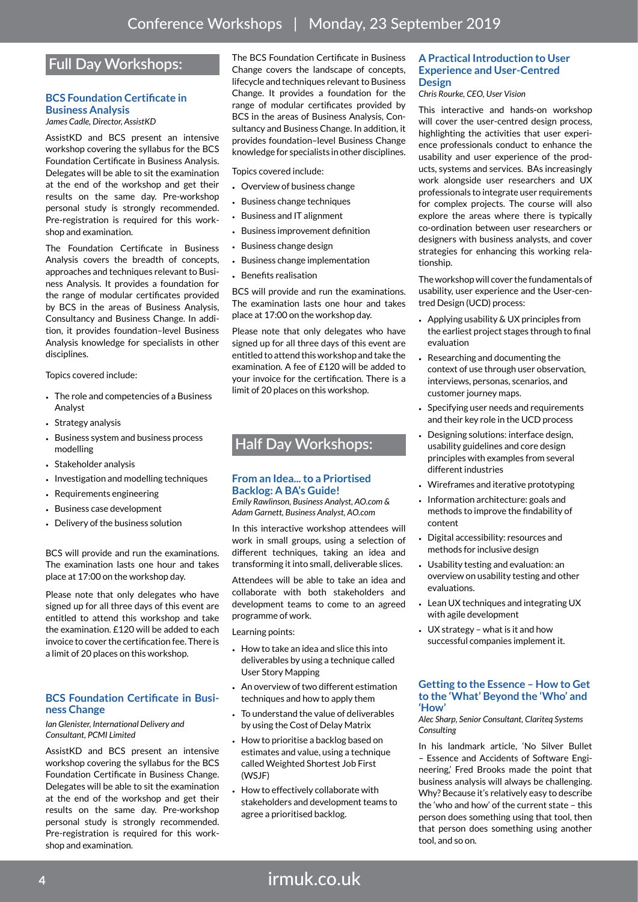# **Full Day Workshops:**

### **BCS Foundation Certificate in Business Analysis**

*James Cadle, Director, AssistKD*

AssistKD and BCS present an intensive workshop covering the syllabus for the BCS Foundation Certificate in Business Analysis. Delegates will be able to sit the examination at the end of the workshop and get their results on the same day. Pre-workshop personal study is strongly recommended. Pre-registration is required for this workshop and examination.

The Foundation Certificate in Business Analysis covers the breadth of concepts, approaches and techniques relevant to Business Analysis. It provides a foundation for the range of modular certificates provided by BCS in the areas of Business Analysis, Consultancy and Business Change. In addition, it provides foundation–level Business Analysis knowledge for specialists in other disciplines.

Topics covered include:

- The role and competencies of a Business Analyst
- Strategy analysis
- Business system and business process modelling
- Stakeholder analysis
- Investigation and modelling techniques
- Requirements engineering
- Business case development
- Delivery of the business solution

BCS will provide and run the examinations. The examination lasts one hour and takes place at 17:00 on the workshop day.

Please note that only delegates who have signed up for all three days of this event are entitled to attend this workshop and take the examination. £120 will be added to each invoice to cover the certification fee. There is a limit of 20 places on this workshop.

### **BCS Foundation Certificate in Business Change**

*Ian Glenister, International Delivery and Consultant, PCMI Limited*

AssistKD and BCS present an intensive workshop covering the syllabus for the BCS Foundation Certificate in Business Change. Delegates will be able to sit the examination at the end of the workshop and get their results on the same day. Pre-workshop personal study is strongly recommended. Pre-registration is required for this workshop and examination.

The BCS Foundation Certificate in Business Change covers the landscape of concepts, lifecycle and techniques relevant to Business Change. It provides a foundation for the range of modular certificates provided by BCS in the areas of Business Analysis, Consultancy and Business Change. In addition, it provides foundation–level Business Change knowledge for specialists in other disciplines.

Topics covered include:

- Overview of business change
- Business change techniques
- Business and IT alignment
- Business improvement definition
- Business change design
- Business change implementation
- Benefits realisation

BCS will provide and run the examinations. The examination lasts one hour and takes place at 17:00 on the workshop day.

Please note that only delegates who have signed up for all three days of this event are entitled to attend this workshop and take the examination. A fee of £120 will be added to your invoice for the certification. There is a limit of 20 places on this workshop.

# **Half Day Workshops:**

### **From an Idea... to a Priortised Backlog: A BA's Guide!**

*Emily Rawlinson, Business Analyst, AO.com & Adam Garnett, Business Analyst, AO.com*

In this interactive workshop attendees will work in small groups, using a selection of different techniques, taking an idea and transforming it into small, deliverable slices.

Attendees will be able to take an idea and collaborate with both stakeholders and development teams to come to an agreed programme of work.

Learning points:

- How to take an idea and slice this into deliverables by using a technique called User Story Mapping
- An overview of two different estimation techniques and how to apply them
- To understand the value of deliverables by using the Cost of Delay Matrix
- How to prioritise a backlog based on estimates and value, using a technique called Weighted Shortest Job First (WSJF)
- How to effectively collaborate with stakeholders and development teams to agree a prioritised backlog.

### **A Practical Introduction to User Experience and User-Centred Design**

*Chris Rourke, CEO, User Vision* 

This interactive and hands-on workshop will cover the user-centred design process, highlighting the activities that user experience professionals conduct to enhance the usability and user experience of the products, systems and services. BAs increasingly work alongside user researchers and UX professionals to integrate user requirements for complex projects. The course will also explore the areas where there is typically co-ordination between user researchers or designers with business analysts, and cover strategies for enhancing this working relationship.

The workshop will cover the fundamentals of usability, user experience and the User-centred Design (UCD) process:

- Applying usability & UX principles from the earliest project stages through to final evaluation
- Researching and documenting the context of use through user observation, interviews, personas, scenarios, and customer journey maps.
- Specifying user needs and requirements and their key role in the UCD process
- Designing solutions: interface design, usability guidelines and core design principles with examples from several different industries
- Wireframes and iterative prototyping
- Information architecture: goals and methods to improve the findability of content
- Digital accessibility: resources and methods for inclusive design
- Usability testing and evaluation: an overview on usability testing and other evaluations.
- Lean UX techniques and integrating UX with agile development
- UX strategy what is it and how successful companies implement it.

#### **Getting to the Essence – How to Get to the 'What' Beyond the 'Who' and 'How'**

*Alec Sharp, Senior Consultant, Clariteq Systems Consulting*

In his landmark article, 'No Silver Bullet – Essence and Accidents of Software Engineering,' Fred Brooks made the point that business analysis will always be challenging. Why? Because it's relatively easy to describe the 'who and how' of the current state – this person does something using that tool, then that person does something using another tool, and so on.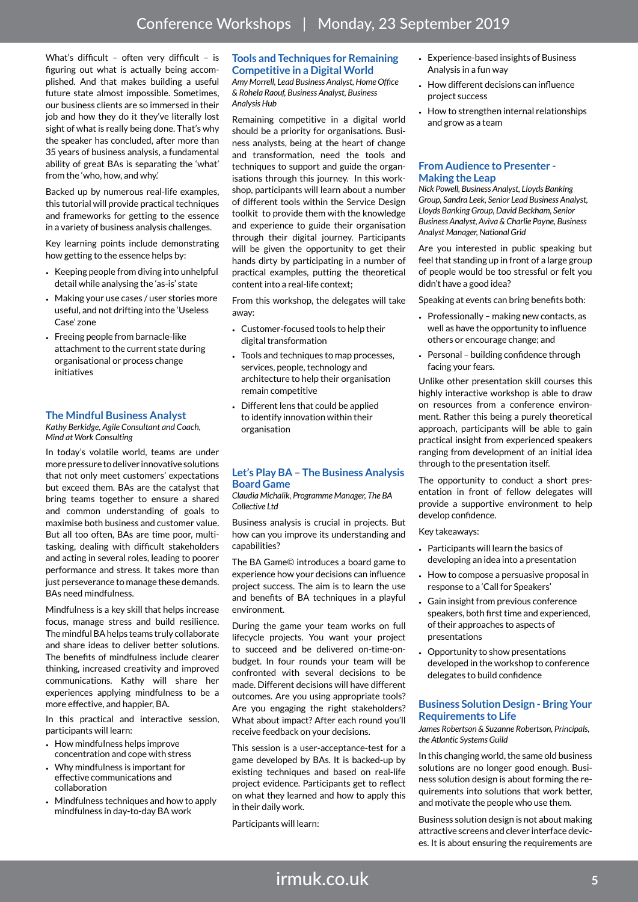What's difficult - often very difficult - is figuring out what is actually being accomplished. And that makes building a useful future state almost impossible. Sometimes, our business clients are so immersed in their job and how they do it they've literally lost sight of what is really being done. That's why the speaker has concluded, after more than 35 years of business analysis, a fundamental ability of great BAs is separating the 'what' from the 'who, how, and why.'

Backed up by numerous real-life examples, this tutorial will provide practical techniques and frameworks for getting to the essence in a variety of business analysis challenges.

Key learning points include demonstrating how getting to the essence helps by:

- Keeping people from diving into unhelpful detail while analysing the 'as-is' state
- Making your use cases / user stories more useful, and not drifting into the 'Useless Case' zone
- Freeing people from barnacle-like attachment to the current state during organisational or process change initiatives

## **The Mindful Business Analyst**

*Kathy Berkidge, Agile Consultant and Coach, Mind at Work Consulting*

In today's volatile world, teams are under more pressure to deliver innovative solutions that not only meet customers' expectations but exceed them. BAs are the catalyst that bring teams together to ensure a shared and common understanding of goals to maximise both business and customer value. But all too often, BAs are time poor, multitasking, dealing with difficult stakeholders and acting in several roles, leading to poorer performance and stress. It takes more than just perseverance to manage these demands. BAs need mindfulness.

Mindfulness is a key skill that helps increase focus, manage stress and build resilience. The mindful BA helps teams truly collaborate and share ideas to deliver better solutions. The benefits of mindfulness include clearer thinking, increased creativity and improved communications. Kathy will share her experiences applying mindfulness to be a more effective, and happier, BA.

In this practical and interactive session, participants will learn:

- How mindfulness helps improve concentration and cope with stress
- Why mindfulness is important for effective communications and collaboration
- Mindfulness techniques and how to apply mindfulness in day-to-day BA work

#### **Tools and Techniques for Remaining Competitive in a Digital World** *Amy Morrell, Lead Business Analyst, Home Office & Rohela Raouf, Business Analyst, Business*

*Analysis Hub*

Remaining competitive in a digital world should be a priority for organisations. Business analysts, being at the heart of change and transformation, need the tools and techniques to support and guide the organisations through this journey. In this workshop, participants will learn about a number of different tools within the Service Design toolkit to provide them with the knowledge and experience to guide their organisation through their digital journey. Participants will be given the opportunity to get their hands dirty by participating in a number of practical examples, putting the theoretical content into a real-life context;

From this workshop, the delegates will take away:

- Customer-focused tools to help their digital transformation
- Tools and techniques to map processes, services, people, technology and architecture to help their organisation remain competitive
- Different lens that could be applied to identify innovation within their organisation

### **Let's Play BA – The Business Analysis Board Game**

*Claudia Michalik, Programme Manager, The BA Collective Ltd*

Business analysis is crucial in projects. But how can you improve its understanding and capabilities?

The BA Game© introduces a board game to experience how your decisions can influence project success. The aim is to learn the use and benefits of BA techniques in a playful environment.

During the game your team works on full lifecycle projects. You want your project to succeed and be delivered on-time-onbudget. In four rounds your team will be confronted with several decisions to be made. Different decisions will have different outcomes. Are you using appropriate tools? Are you engaging the right stakeholders? What about impact? After each round you'll receive feedback on your decisions.

This session is a user-acceptance-test for a game developed by BAs. It is backed-up by existing techniques and based on real-life project evidence. Participants get to reflect on what they learned and how to apply this in their daily work.

Participants will learn:

- Experience-based insights of Business Analysis in a fun way
- How different decisions can influence project success
- How to strengthen internal relationships and grow as a team

#### **From Audience to Presenter - Making the Leap**

*Nick Powell, Business Analyst, Lloyds Banking Group, Sandra Leek, Senior Lead Business Analyst, Lloyds Banking Group, David Beckham, Senior Business Analyst, Aviva & Charlie Payne, Business Analyst Manager, National Grid*

Are you interested in public speaking but feel that standing up in front of a large group of people would be too stressful or felt you didn't have a good idea?

Speaking at events can bring benefits both:

- Professionally making new contacts, as well as have the opportunity to influence others or encourage change; and
- Personal building confidence through facing your fears.

Unlike other presentation skill courses this highly interactive workshop is able to draw on resources from a conference environment. Rather this being a purely theoretical approach, participants will be able to gain practical insight from experienced speakers ranging from development of an initial idea through to the presentation itself.

The opportunity to conduct a short presentation in front of fellow delegates will provide a supportive environment to help develop confidence.

Key takeaways:

- Participants will learn the basics of developing an idea into a presentation
- How to compose a persuasive proposal in response to a 'Call for Speakers'
- Gain insight from previous conference speakers, both first time and experienced, of their approaches to aspects of presentations
- Opportunity to show presentations developed in the workshop to conference delegates to build confidence

### **Business Solution Design - Bring Your Requirements to Life**

*James Robertson & Suzanne Robertson, Principals, the Atlantic Systems Guild*

In this changing world, the same old business solutions are no longer good enough. Business solution design is about forming the requirements into solutions that work better, and motivate the people who use them.

Business solution design is not about making attractive screens and clever interface devices. It is about ensuring the requirements are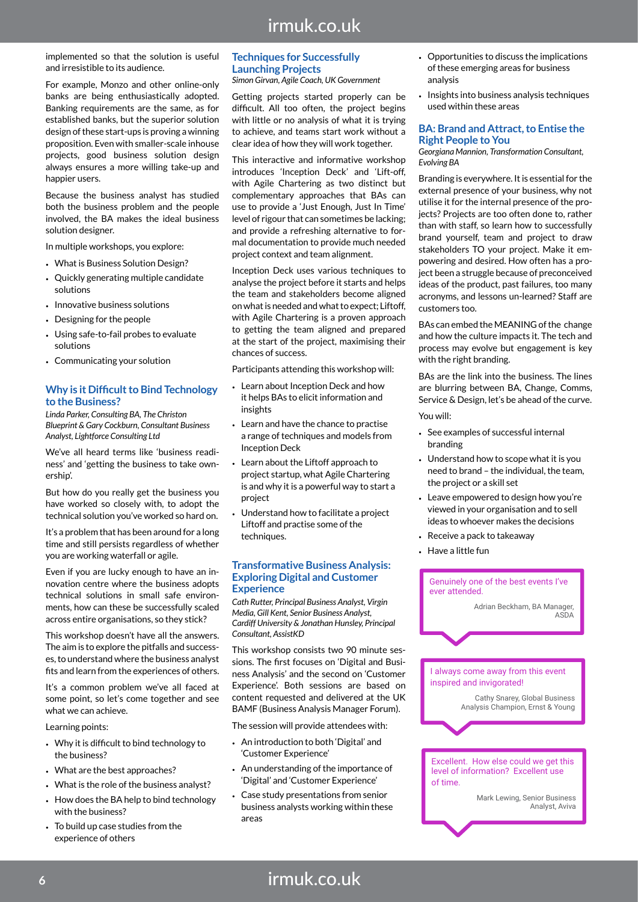# irmuk.co.uk

implemented so that the solution is useful and irresistible to its audience.

For example, Monzo and other online-only banks are being enthusiastically adopted. Banking requirements are the same, as for established banks, but the superior solution design of these start-ups is proving a winning proposition. Even with smaller-scale inhouse projects, good business solution design always ensures a more willing take-up and happier users.

Because the business analyst has studied both the business problem and the people involved, the BA makes the ideal business solution designer.

In multiple workshops, you explore:

- What is Business Solution Design?
- Quickly generating multiple candidate solutions
- Innovative business solutions
- Designing for the people
- Using safe-to-fail probes to evaluate solutions
- Communicating your solution

#### **Why is it Difficult to Bind Technology to the Business?**

*Linda Parker, Consulting BA, The Christon Blueprint & Gary Cockburn, Consultant Business Analyst, Lightforce Consulting Ltd*

We've all heard terms like 'business readiness' and 'getting the business to take ownership'.

But how do you really get the business you have worked so closely with, to adopt the technical solution you've worked so hard on.

It's a problem that has been around for a long time and still persists regardless of whether you are working waterfall or agile.

Even if you are lucky enough to have an innovation centre where the business adopts technical solutions in small safe environments, how can these be successfully scaled across entire organisations, so they stick?

This workshop doesn't have all the answers. The aim is to explore the pitfalls and successes, to understand where the business analyst fits and learn from the experiences of others.

It's a common problem we've all faced at some point, so let's come together and see what we can achieve.

Learning points:

- Why it is difficult to bind technology to the business?
- What are the best approaches?
- What is the role of the business analyst?
- How does the BA help to bind technology with the business?
- To build up case studies from the experience of others

## **Techniques for Successfully Launching Projects**

*Simon Girvan, Agile Coach, UK Government*

Getting projects started properly can be difficult. All too often, the project begins with little or no analysis of what it is trying to achieve, and teams start work without a clear idea of how they will work together.

This interactive and informative workshop introduces 'Inception Deck' and 'Lift-off, with Agile Chartering as two distinct but complementary approaches that BAs can use to provide a 'Just Enough, Just In Time' level of rigour that can sometimes be lacking; and provide a refreshing alternative to formal documentation to provide much needed project context and team alignment.

Inception Deck uses various techniques to analyse the project before it starts and helps the team and stakeholders become aligned on what is needed and what to expect; Liftoff, with Agile Chartering is a proven approach to getting the team aligned and prepared at the start of the project, maximising their chances of success.

Participants attending this workshop will:

- Learn about Inception Deck and how it helps BAs to elicit information and insights
- Learn and have the chance to practise a range of techniques and models from Inception Deck
- Learn about the Liftoff approach to project startup, what Agile Chartering is and why it is a powerful way to start a project
- Understand how to facilitate a project Liftoff and practise some of the techniques.

### **Transformative Business Analysis: Exploring Digital and Customer Experience**

*Cath Rutter, Principal Business Analyst, Virgin Media, Gill Kent, Senior Business Analyst, Cardiff University & Jonathan Hunsley, Principal Consultant, AssistKD*

This workshop consists two 90 minute sessions. The first focuses on 'Digital and Business Analysis' and the second on 'Customer Experience'. Both sessions are based on content requested and delivered at the UK BAMF (Business Analysis Manager Forum).

The session will provide attendees with:

- An introduction to both 'Digital' and 'Customer Experience'
- An understanding of the importance of 'Digital' and 'Customer Experience'
- Case study presentations from senior business analysts working within these areas
- Opportunities to discuss the implications of these emerging areas for business analysis
- Insights into business analysis techniques used within these areas

#### **BA: Brand and Attract, to Entise the Right People to You**

*Georgiana Mannion, Transformation Consultant, Evolving BA*

Branding is everywhere. It is essential for the external presence of your business, why not utilise it for the internal presence of the projects? Projects are too often done to, rather than with staff, so learn how to successfully brand yourself, team and project to draw stakeholders TO your project. Make it empowering and desired. How often has a project been a struggle because of preconceived ideas of the product, past failures, too many acronyms, and lessons un-learned? Staff are customers too.

BAs can embed the MEANING of the change and how the culture impacts it. The tech and process may evolve but engagement is key with the right branding.

BAs are the link into the business. The lines are blurring between BA, Change, Comms, Service & Design, let's be ahead of the curve. You will:

- See examples of successful internal branding
- Understand how to scope what it is you need to brand – the individual, the team, the project or a skill set
- Leave empowered to design how you're viewed in your organisation and to sell ideas to whoever makes the decisions
- Receive a pack to takeaway
- Have a little fun

Genuinely one of the best events I've ever attended.

> Adrian Beckham, BA Manager ASDA

I always come away from this event inspired and invigorated!

> Cathy Snarey, Global Business Analysis Champion, Ernst & Young

Excellent. How else could we get this level of information? Excellent use of time.

> Mark Lewing, Senior Business Analyst, Aviva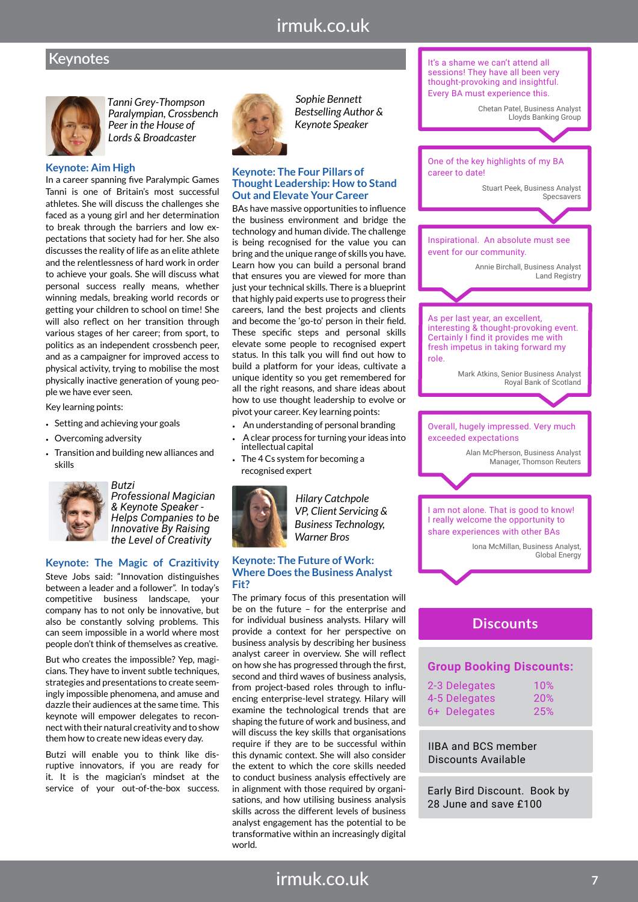# irmuk.co.uk

# **Keynotes**



 *Tanni Grey-Thompson Paralympian, Crossbench Peer in the House of Lords & Broadcaster*

#### **Keynote: Aim High**

In a career spanning five Paralympic Games Tanni is one of Britain's most successful athletes. She will discuss the challenges she faced as a young girl and her determination to break through the barriers and low expectations that society had for her. She also discusses the reality of life as an elite athlete and the relentlessness of hard work in order to achieve your goals. She will discuss what personal success really means, whether winning medals, breaking world records or getting your children to school on time! She will also reflect on her transition through various stages of her career; from sport, to politics as an independent crossbench peer, and as a campaigner for improved access to physical activity, trying to mobilise the most physically inactive generation of young people we have ever seen.

Key learning points:

- Setting and achieving your goals
- Overcoming adversity
- Transition and building new alliances and skills



*Butzi Professional Magician & Keynote Speaker - Helps Companies to be Innovative By Raising the Level of Creativity*

## **Keynote: The Magic of Crazitivity**

Steve Jobs said: "Innovation distinguishes between a leader and a follower". In today's competitive business landscape, your company has to not only be innovative, but also be constantly solving problems. This can seem impossible in a world where most people don't think of themselves as creative.

But who creates the impossible? Yep, magicians. They have to invent subtle techniques, strategies and presentations to create seemingly impossible phenomena, and amuse and dazzle their audiences at the same time. This keynote will empower delegates to reconnect with their natural creativity and to show them how to create new ideas every day.

Butzi will enable you to think like disruptive innovators, if you are ready for it. It is the magician's mindset at the service of your out-of-the-box success.



*Sophie Bennett Bestselling Author & Keynote Speaker*

#### **Keynote: The Four Pillars of Thought Leadership: How to Stand Out and Elevate Your Career**

BAs have massive opportunities to influence the business environment and bridge the technology and human divide. The challenge is being recognised for the value you can bring and the unique range of skills you have. Learn how you can build a personal brand that ensures you are viewed for more than just your technical skills. There is a blueprint that highly paid experts use to progress their careers, land the best projects and clients and become the 'go-to' person in their field. These specific steps and personal skills elevate some people to recognised expert status. In this talk you will find out how to build a platform for your ideas, cultivate a unique identity so you get remembered for all the right reasons, and share ideas about how to use thought leadership to evolve or pivot your career. Key learning points:

- An understanding of personal branding
- A clear process for turning your ideas into intellectual capital
- The 4 Cs system for becoming a recognised expert



*Hilary Catchpole VP, Client Servicing & Business Technology, Warner Bros*

#### **Keynote: The Future of Work: Where Does the Business Analyst Fit?**

The primary focus of this presentation will be on the future – for the enterprise and for individual business analysts. Hilary will provide a context for her perspective on business analysis by describing her business analyst career in overview. She will reflect on how she has progressed through the first, second and third waves of business analysis, from project-based roles through to influencing enterprise-level strategy. Hilary will examine the technological trends that are shaping the future of work and business, and will discuss the key skills that organisations require if they are to be successful within this dynamic context. She will also consider the extent to which the core skills needed to conduct business analysis effectively are in alignment with those required by organisations, and how utilising business analysis skills across the different levels of business analyst engagement has the potential to be transformative within an increasingly digital world.



| 2-3 Delegates | 10% |
|---------------|-----|
| 4-5 Delegates | 20% |
| 6+ Delegates  | 25% |

IIBA and BCS member Discounts Available

Early Bird Discount. Book by 28 June and save £100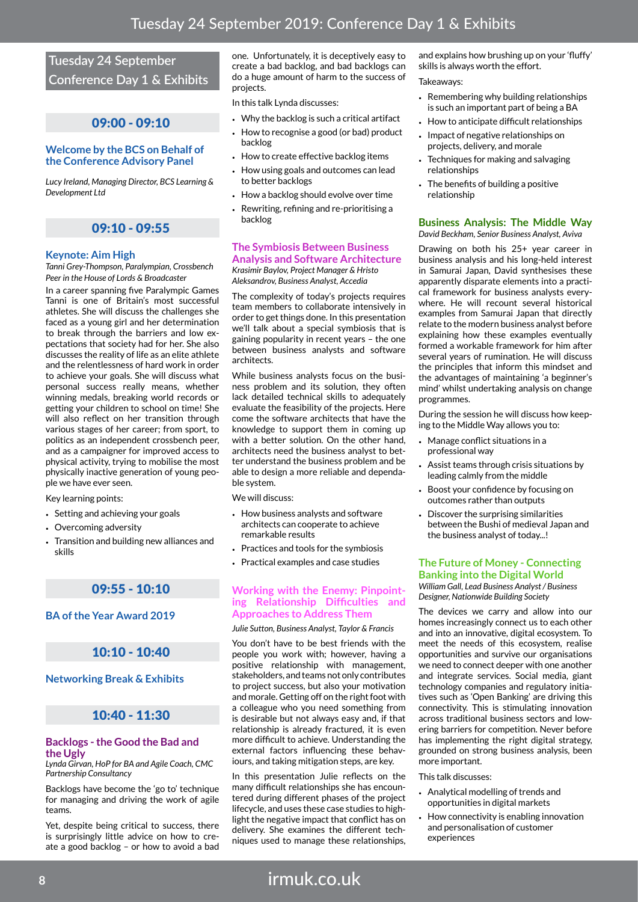# **Tuesday 24 September Conference Day 1 & Exhibits**

# 09:00 - 09:10

### **Welcome by the BCS on Behalf of the Conference Advisory Panel**

*Lucy Ireland, Managing Director, BCS Learning & Development Ltd*

# 09:10 - 09:55

## **Keynote: Aim High**

*Tanni Grey-Thompson, Paralympian, Crossbench Peer in the House of Lords & Broadcaster*

In a career spanning five Paralympic Games Tanni is one of Britain's most successful athletes. She will discuss the challenges she faced as a young girl and her determination to break through the barriers and low expectations that society had for her. She also discusses the reality of life as an elite athlete and the relentlessness of hard work in order to achieve your goals. She will discuss what personal success really means, whether winning medals, breaking world records or getting your children to school on time! She will also reflect on her transition through various stages of her career; from sport, to politics as an independent crossbench peer, and as a campaigner for improved access to physical activity, trying to mobilise the most physically inactive generation of young people we have ever seen.

Key learning points:

- Setting and achieving your goals
- Overcoming adversity
- Transition and building new alliances and skills

## 09:55 - 10:10

**BA of the Year Award 2019**

# 10:10 - 10:40

#### **Networking Break & Exhibits**

# 10:40 - 11:30

#### **Backlogs - the Good the Bad and the Ugly**

*Lynda Girvan, HoP for BA and Agile Coach, CMC Partnership Consultancy*

Backlogs have become the 'go to' technique for managing and driving the work of agile teams.

Yet, despite being critical to success, there is surprisingly little advice on how to create a good backlog – or how to avoid a bad

one. Unfortunately, it is deceptively easy to create a bad backlog, and bad backlogs can do a huge amount of harm to the success of projects.

In this talk Lynda discusses:

- Why the backlog is such a critical artifact
- How to recognise a good (or bad) product backlog
- How to create effective backlog items
- How using goals and outcomes can lead to better backlogs
- How a backlog should evolve over time
- Rewriting, refining and re-prioritising a backlog

#### **The Symbiosis Between Business Analysis and Software Architecture**

*Krasimir Baylov, Project Manager & Hristo Aleksandrov, Business Analyst, Accedia*

The complexity of today's projects requires team members to collaborate intensively in order to get things done. In this presentation we'll talk about a special symbiosis that is gaining popularity in recent years – the one between business analysts and software architects.

While business analysts focus on the business problem and its solution, they often lack detailed technical skills to adequately evaluate the feasibility of the projects. Here come the software architects that have the knowledge to support them in coming up with a better solution. On the other hand, architects need the business analyst to better understand the business problem and be able to design a more reliable and dependable system.

We will discuss:

- How business analysts and software architects can cooperate to achieve remarkable results
- Practices and tools for the symbiosis
- Practical examples and case studies

#### **Working with the Enemy: Pinpointing Relationship Difficulties and Approaches to Address Them**

*Julie Sutton, Business Analyst, Taylor & Francis*

You don't have to be best friends with the people you work with; however, having a positive relationship with management, stakeholders, and teams not only contributes to project success, but also your motivation and morale. Getting off on the right foot with a colleague who you need something from is desirable but not always easy and, if that relationship is already fractured, it is even more difficult to achieve. Understanding the external factors influencing these behaviours, and taking mitigation steps, are key.

In this presentation Julie reflects on the many difficult relationships she has encountered during different phases of the project lifecycle, and uses these case studies to highlight the negative impact that conflict has on delivery. She examines the different techniques used to manage these relationships,

and explains how brushing up on your 'fluffy' skills is always worth the effort.

Takeaways:

- Remembering why building relationships is such an important part of being a BA
- How to anticipate difficult relationships
- Impact of negative relationships on projects, delivery, and morale
- Techniques for making and salvaging relationships
- The benefits of building a positive relationship

#### **Business Analysis: The Middle Way** *David Beckham, Senior Business Analyst, Aviva*

Drawing on both his 25+ year career in business analysis and his long-held interest in Samurai Japan, David synthesises these apparently disparate elements into a practical framework for business analysts everywhere. He will recount several historical examples from Samurai Japan that directly relate to the modern business analyst before explaining how these examples eventually formed a workable framework for him after several years of rumination. He will discuss the principles that inform this mindset and the advantages of maintaining 'a beginner's mind' whilst undertaking analysis on change programmes.

During the session he will discuss how keeping to the Middle Way allows you to:

- Manage conflict situations in a professional way
- Assist teams through crisis situations by leading calmly from the middle
- Boost your confidence by focusing on outcomes rather than outputs
- Discover the surprising similarities between the Bushi of medieval Japan and the business analyst of today...!

### **The Future of Money - Connecting Banking into the Digital World**

*William Gall, Lead Business Analyst / Business Designer, Nationwide Building Society*

The devices we carry and allow into our homes increasingly connect us to each other and into an innovative, digital ecosystem. To meet the needs of this ecosystem, realise opportunities and survive our organisations we need to connect deeper with one another and integrate services. Social media, giant technology companies and regulatory initiatives such as 'Open Banking' are driving this connectivity. This is stimulating innovation across traditional business sectors and lowering barriers for competition. Never before has implementing the right digital strategy, grounded on strong business analysis, been more important.

#### This talk discusses:

- Analytical modelling of trends and opportunities in digital markets
- How connectivity is enabling innovation and personalisation of customer experiences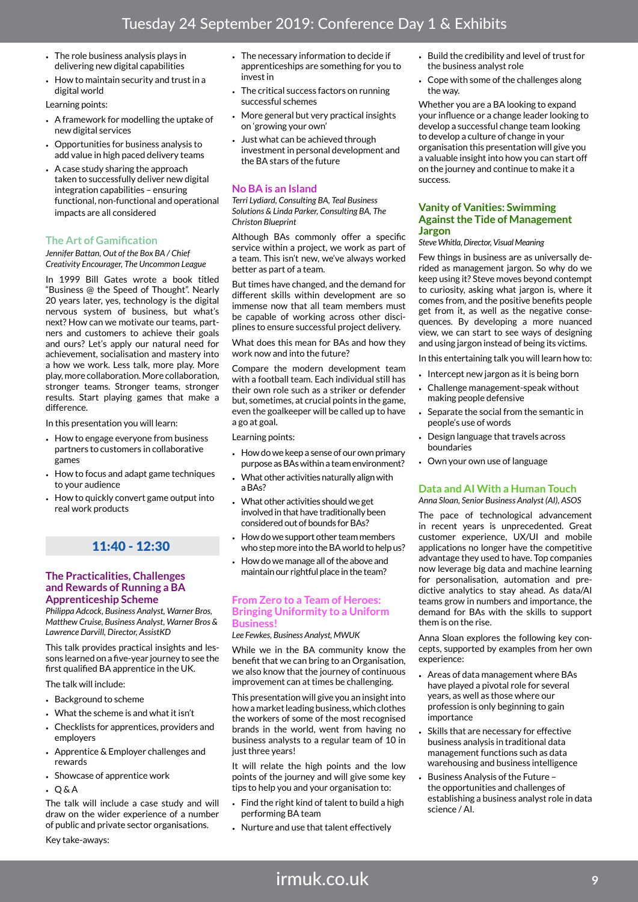- The role business analysis plays in delivering new digital capabilities
- How to maintain security and trust in a digital world

Learning points:

- A framework for modelling the uptake of new digital services
- Opportunities for business analysis to add value in high paced delivery teams
- A case study sharing the approach taken to successfully deliver new digital integration capabilities – ensuring functional, non-functional and operational impacts are all considered

### **The Art of Gamification**

*Jennifer Battan, Out of the Box BA / Chief Creativity Encourager, The Uncommon League*

In 1999 Bill Gates wrote a book titled "Business @ the Speed of Thought". Nearly 20 years later, yes, technology is the digital nervous system of business, but what's next? How can we motivate our teams, partners and customers to achieve their goals and ours? Let's apply our natural need for achievement, socialisation and mastery into a how we work. Less talk, more play. More play, more collaboration. More collaboration, stronger teams. Stronger teams, stronger results. Start playing games that make a difference.

In this presentation you will learn:

- How to engage everyone from business partners to customers in collaborative games
- How to focus and adapt game techniques to your audience
- How to quickly convert game output into real work products

## 11:40 - 12:30

#### **The Practicalities, Challenges and Rewards of Running a BA Apprenticeship Scheme**

*Philippa Adcock, Business Analyst, Warner Bros, Matthew Cruise, Business Analyst, Warner Bros & Lawrence Darvill, Director, AssistKD*

This talk provides practical insights and lessons learned on a five-year journey to see the first qualified BA apprentice in the UK.

The talk will include:

- Background to scheme
- What the scheme is and what it isn't
- Checklists for apprentices, providers and employers
- Apprentice & Employer challenges and rewards
- Showcase of apprentice work
- Q & A

The talk will include a case study and will draw on the wider experience of a number of public and private sector organisations.

Key take-aways:

- The necessary information to decide if apprenticeships are something for you to invest in
- The critical success factors on running successful schemes
- More general but very practical insights on 'growing your own'
- Just what can be achieved through investment in personal development and the BA stars of the future

#### **No BA is an Island**

*Terri Lydiard, Consulting BA, Teal Business Solutions & Linda Parker, Consulting BA, The Christon Blueprint*

Although BAs commonly offer a specific service within a project, we work as part of a team. This isn't new, we've always worked better as part of a team.

But times have changed, and the demand for different skills within development are so immense now that all team members must be capable of working across other disciplines to ensure successful project delivery.

What does this mean for BAs and how they work now and into the future?

Compare the modern development team with a football team. Each individual still has their own role such as a striker or defender but, sometimes, at crucial points in the game, even the goalkeeper will be called up to have a go at goal.

Learning points:

- How do we keep a sense of our own primary purpose as BAs within a team environment?
- What other activities naturally align with a BAs?
- What other activities should we get involved in that have traditionally been considered out of bounds for BAs?
- How do we support other team members who step more into the BA world to help us?
- How do we manage all of the above and maintain our rightful place in the team?

#### **From Zero to a Team of Heroes: Bringing Uniformity to a Uniform Business!**

*Lee Fewkes, Business Analyst, MWUK*

While we in the BA community know the benefit that we can bring to an Organisation, we also know that the journey of continuous improvement can at times be challenging.

This presentation will give you an insight into how a market leading business, which clothes the workers of some of the most recognised brands in the world, went from having no business analysts to a regular team of 10 in just three years!

It will relate the high points and the low points of the journey and will give some key tips to help you and your organisation to:

- Find the right kind of talent to build a high performing BA team
- Nurture and use that talent effectively
- Build the credibility and level of trust for the business analyst role
- Cope with some of the challenges along the way.

Whether you are a BA looking to expand your influence or a change leader looking to develop a successful change team looking to develop a culture of change in your organisation this presentation will give you a valuable insight into how you can start off on the journey and continue to make it a success.

#### **Vanity of Vanities: Swimming Against the Tide of Management Jargon**

*Steve Whitla, Director, Visual Meaning*

Few things in business are as universally derided as management jargon. So why do we keep using it? Steve moves beyond contempt to curiosity, asking what jargon is, where it comes from, and the positive benefits people get from it, as well as the negative consequences. By developing a more nuanced view, we can start to see ways of designing and using jargon instead of being its victims.

In this entertaining talk you will learn how to:

- Intercept new jargon as it is being born
- Challenge management-speak without making people defensive
- Separate the social from the semantic in people's use of words
- Design language that travels across boundaries
- Own your own use of language

### **Data and AI With a Human Touch**

*Anna Sloan, Senior Business Analyst (AI), ASOS*

The pace of technological advancement in recent years is unprecedented. Great customer experience, UX/UI and mobile applications no longer have the competitive advantage they used to have. Top companies now leverage big data and machine learning for personalisation, automation and predictive analytics to stay ahead. As data/AI teams grow in numbers and importance, the demand for BAs with the skills to support them is on the rise.

Anna Sloan explores the following key concepts, supported by examples from her own experience:

- Areas of data management where BAs have played a pivotal role for several years, as well as those where our profession is only beginning to gain importance
- Skills that are necessary for effective business analysis in traditional data management functions such as data warehousing and business intelligence
- Business Analysis of the Future the opportunities and challenges of establishing a business analyst role in data science / AI.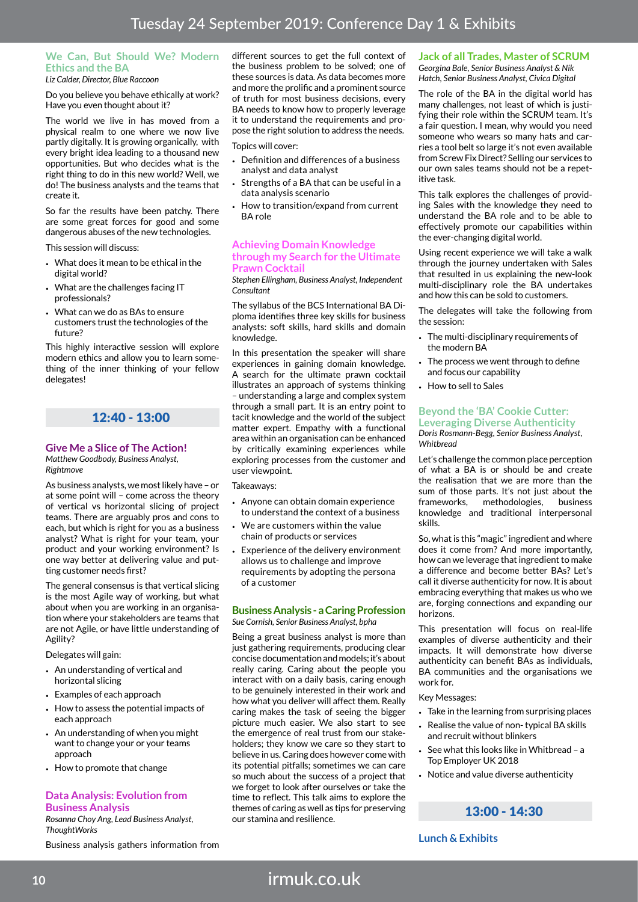# **We Can, But Should We? Modern Ethics and the BA**

*Liz Calder, Director, Blue Raccoon*

Do you believe you behave ethically at work? Have you even thought about it?

The world we live in has moved from a physical realm to one where we now live partly digitally. It is growing organically, with every bright idea leading to a thousand new opportunities. But who decides what is the right thing to do in this new world? Well, we do! The business analysts and the teams that create it.

So far the results have been patchy. There are some great forces for good and some dangerous abuses of the new technologies.

This session will discuss:

- What does it mean to be ethical in the digital world?
- What are the challenges facing IT professionals?
- What can we do as BAs to ensure customers trust the technologies of the future?

This highly interactive session will explore modern ethics and allow you to learn something of the inner thinking of your fellow delegates!

# 12:40 - 13:00

### **Give Me a Slice of The Action!**

*Matthew Goodbody, Business Analyst, Rightmove*

As business analysts, we most likely have – or at some point will – come across the theory of vertical vs horizontal slicing of project teams. There are arguably pros and cons to each, but which is right for you as a business analyst? What is right for your team, your product and your working environment? Is one way better at delivering value and putting customer needs first?

The general consensus is that vertical slicing is the most Agile way of working, but what about when you are working in an organisation where your stakeholders are teams that are not Agile, or have little understanding of Agility?

Delegates will gain:

- An understanding of vertical and horizontal slicing
- Examples of each approach
- How to assess the potential impacts of each approach
- An understanding of when you might want to change your or your teams approach
- How to promote that change

#### **Data Analysis: Evolution from Business Analysis**

*Rosanna Choy Ang, Lead Business Analyst, ThoughtWorks*

Business analysis gathers information from

different sources to get the full context of the business problem to be solved; one of these sources is data. As data becomes more and more the prolific and a prominent source of truth for most business decisions, every BA needs to know how to properly leverage it to understand the requirements and propose the right solution to address the needs.

Topics will cover:

- Definition and differences of a business analyst and data analyst
- Strengths of a BA that can be useful in a data analysis scenario
- How to transition/expand from current BA role

#### **Achieving Domain Knowledge through my Search for the Ultimate Prawn Cocktail**

*Stephen Ellingham, Business Analyst, Independent Consultant*

The syllabus of the BCS International BA Diploma identifies three key skills for business analysts: soft skills, hard skills and domain knowledge.

In this presentation the speaker will share experiences in gaining domain knowledge. A search for the ultimate prawn cocktail illustrates an approach of systems thinking – understanding a large and complex system through a small part. It is an entry point to tacit knowledge and the world of the subject matter expert. Empathy with a functional area within an organisation can be enhanced by critically examining experiences while exploring processes from the customer and user viewpoint.

Takeaways:

- Anyone can obtain domain experience to understand the context of a business
- We are customers within the value chain of products or services
- Experience of the delivery environment allows us to challenge and improve requirements by adopting the persona of a customer

#### **Business Analysis - a Caring Profession** *Sue Cornish, Senior Business Analyst, bpha*

Being a great business analyst is more than just gathering requirements, producing clear concise documentation and models; it's about really caring. Caring about the people you interact with on a daily basis, caring enough to be genuinely interested in their work and how what you deliver will affect them. Really caring makes the task of seeing the bigger picture much easier. We also start to see the emergence of real trust from our stakeholders; they know we care so they start to believe in us. Caring does however come with its potential pitfalls; sometimes we can care so much about the success of a project that we forget to look after ourselves or take the time to reflect. This talk aims to explore the themes of caring as well as tips for preserving our stamina and resilience.

# **Jack of all Trades, Master of SCRUM**

*Georgina Bale, Senior Business Analyst & Nik Hatch, Senior Business Analyst, Civica Digital*

The role of the BA in the digital world has many challenges, not least of which is justifying their role within the SCRUM team. It's a fair question. I mean, why would you need someone who wears so many hats and carries a tool belt so large it's not even available from Screw Fix Direct? Selling our services to our own sales teams should not be a repetitive task.

This talk explores the challenges of providing Sales with the knowledge they need to understand the BA role and to be able to effectively promote our capabilities within the ever-changing digital world.

Using recent experience we will take a walk through the journey undertaken with Sales that resulted in us explaining the new-look multi-disciplinary role the BA undertakes and how this can be sold to customers.

The delegates will take the following from the session:

- The multi-disciplinary requirements of the modern BA
- The process we went through to define and focus our capability
- How to sell to Sales

#### **Beyond the 'BA' Cookie Cutter: Leveraging Diverse Authenticity** *Doris Rosmann-Begg, Senior Business Analyst, Whitbread*

Let's challenge the common place perception of what a BA is or should be and create the realisation that we are more than the sum of those parts. It's not just about the frameworks, methodologies, business knowledge and traditional interpersonal skills.

So, what is this "magic" ingredient and where does it come from? And more importantly, how can we leverage that ingredient to make a difference and become better BAs? Let's call it diverse authenticity for now. It is about embracing everything that makes us who we are, forging connections and expanding our horizons.

This presentation will focus on real-life examples of diverse authenticity and their impacts. It will demonstrate how diverse authenticity can benefit BAs as individuals, BA communities and the organisations we work for.

Key Messages:

- Take in the learning from surprising places
- Realise the value of non- typical BA skills and recruit without blinkers
- See what this looks like in Whitbread a Top Employer UK 2018
- Notice and value diverse authenticity

## 13:00 - 14:30

**Lunch & Exhibits**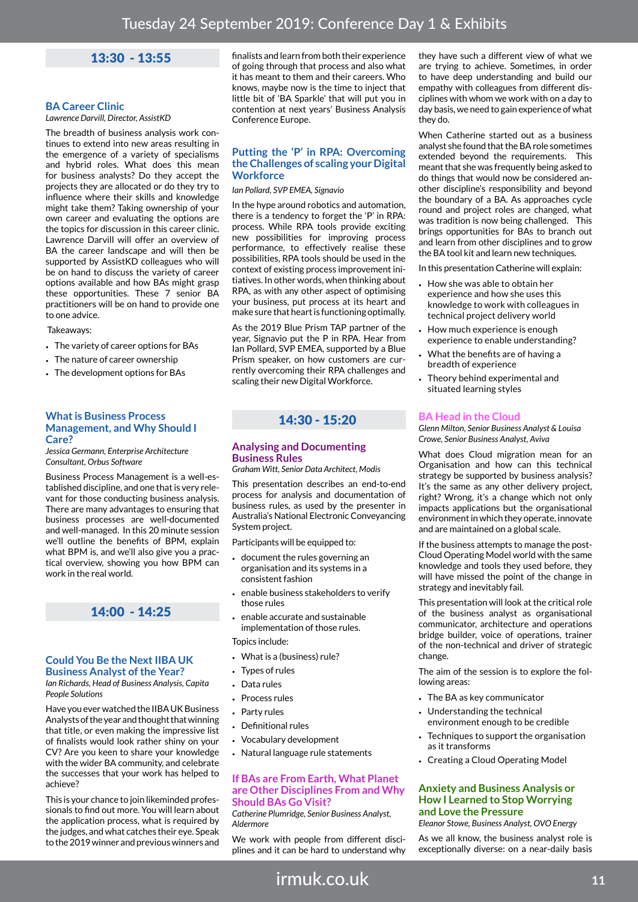# 13:30 - 13:55

### **BA Career Clinic**

*Lawrence Darvill, Director, AssistKD*

The breadth of business analysis work continues to extend into new areas resulting in the emergence of a variety of specialisms and hybrid roles. What does this mean for business analysts? Do they accept the projects they are allocated or do they try to influence where their skills and knowledge might take them? Taking ownership of your own career and evaluating the options are the topics for discussion in this career clinic. Lawrence Darvill will offer an overview of BA the career landscape and will then be supported by AssistKD colleagues who will be on hand to discuss the variety of career options available and how BAs might grasp these opportunities. These 7 senior BA practitioners will be on hand to provide one to one advice.

#### Takeaways:

- The variety of career options for BAs
- The nature of career ownership
- The development options for BAs

#### **What is Business Process Management, and Why Should I Care?**

*Jessica Germann, Enterprise Architecture Consultant, Orbus Software*

Business Process Management is a well-established discipline, and one that is very relevant for those conducting business analysis. There are many advantages to ensuring that business processes are well-documented and well-managed. In this 20 minute session we'll outline the benefits of BPM, explain what BPM is, and we'll also give you a practical overview, showing you how BPM can work in the real world.

## 14:00 - 14:25

#### **Could You Be the Next IIBA UK Business Analyst of the Year?**

*Ian Richards, Head of Business Analysis, Capita People Solutions*

Have you ever watched the IIBA UK Business Analysts of the year and thought that winning that title, or even making the impressive list of finalists would look rather shiny on your CV? Are you keen to share your knowledge with the wider BA community, and celebrate the successes that your work has helped to achieve?

This is your chance to join likeminded professionals to find out more. You will learn about the application process, what is required by the judges, and what catches their eye. Speak to the 2019 winner and previous winners and

finalists and learn from both their experience of going through that process and also what it has meant to them and their careers. Who knows, maybe now is the time to inject that little bit of 'BA Sparkle' that will put you in contention at next years' Business Analysis Conference Europe.

### **Putting the 'P' in RPA: Overcoming the Challenges of scaling your Digital Workforce**

*Ian Pollard, SVP EMEA, Signavio*

In the hype around robotics and automation, there is a tendency to forget the 'P' in RPA: process. While RPA tools provide exciting new possibilities for improving process performance, to effectively realise these possibilities, RPA tools should be used in the context of existing process improvement initiatives. In other words, when thinking about RPA, as with any other aspect of optimising your business, put process at its heart and make sure that heart is functioning optimally.

As the 2019 Blue Prism TAP partner of the year, Signavio put the P in RPA. Hear from Ian Pollard, SVP EMEA, supported by a Blue Prism speaker, on how customers are currently overcoming their RPA challenges and scaling their new Digital Workforce.

# 14:30 - 15:20

#### **Analysing and Documenting Business Rules**

*Graham Witt, Senior Data Architect, Modis*

This presentation describes an end-to-end process for analysis and documentation of business rules, as used by the presenter in Australia's National Electronic Conveyancing System project.

Participants will be equipped to:

- document the rules governing an organisation and its systems in a consistent fashion
- enable business stakeholders to verify those rules
- enable accurate and sustainable implementation of those rules. Topics include:
- What is a (business) rule?
- Types of rules
- Data rules
- Process rules
- Party rules
- Definitional rules
- Vocabulary development
- Natural language rule statements

#### **If BAs are From Earth, What Planet are Other Disciplines From and Why Should BAs Go Visit?**

*Catherine Plumridge, Senior Business Analyst, Aldermore*

We work with people from different disciplines and it can be hard to understand why

they have such a different view of what we are trying to achieve. Sometimes, in order to have deep understanding and build our empathy with colleagues from different disciplines with whom we work with on a day to day basis, we need to gain experience of what they do.

When Catherine started out as a business analyst she found that the BA role sometimes extended beyond the requirements. This meant that she was frequently being asked to do things that would now be considered another discipline's responsibility and beyond the boundary of a BA. As approaches cycle round and project roles are changed, what was tradition is now being challenged. This brings opportunities for BAs to branch out and learn from other disciplines and to grow the BA tool kit and learn new techniques.

In this presentation Catherine will explain:

- How she was able to obtain her experience and how she uses this knowledge to work with colleagues in technical project delivery world
- How much experience is enough experience to enable understanding?
- What the benefits are of having a breadth of experience
- Theory behind experimental and situated learning styles

#### **BA Head in the Cloud**

*Glenn Milton, Senior Business Analyst & Louisa Crowe, Senior Business Analyst, Aviva*

What does Cloud migration mean for an Organisation and how can this technical strategy be supported by business analysis? It's the same as any other delivery project, right? Wrong, it's a change which not only impacts applications but the organisational environment in which they operate, innovate and are maintained on a global scale.

If the business attempts to manage the post-Cloud Operating Model world with the same knowledge and tools they used before, they will have missed the point of the change in strategy and inevitably fail.

This presentation will look at the critical role of the business analyst as organisational communicator, architecture and operations bridge builder, voice of operations, trainer of the non-technical and driver of strategic change.

The aim of the session is to explore the following areas:

- The BA as key communicator
- Understanding the technical environment enough to be credible
- Techniques to support the organisation as it transforms
- Creating a Cloud Operating Model

#### **Anxiety and Business Analysis or How I Learned to Stop Worrying and Love the Pressure**

*Eleanor Stowe, Business Analyst, OVO Energy*

As we all know, the business analyst role is exceptionally diverse: on a near-daily basis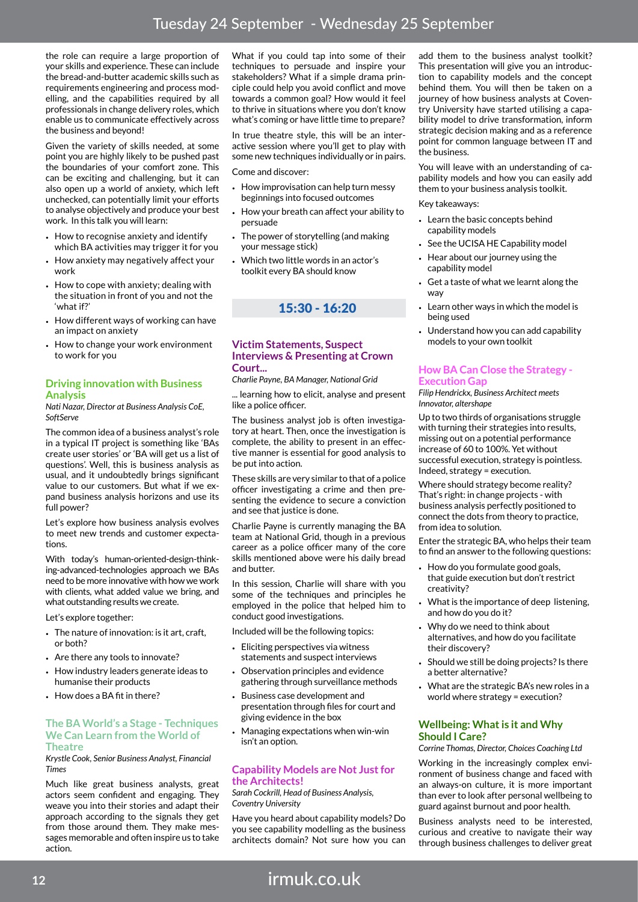the role can require a large proportion of your skills and experience. These can include the bread-and-butter academic skills such as requirements engineering and process modelling, and the capabilities required by all professionals in change delivery roles, which enable us to communicate effectively across the business and beyond!

Given the variety of skills needed, at some point you are highly likely to be pushed past the boundaries of your comfort zone. This can be exciting and challenging, but it can also open up a world of anxiety, which left unchecked, can potentially limit your efforts to analyse objectively and produce your best work. In this talk you will learn:

- How to recognise anxiety and identify which BA activities may trigger it for you
- How anxiety may negatively affect your work
- How to cope with anxiety; dealing with the situation in front of you and not the 'what if?'
- How different ways of working can have an impact on anxiety
- How to change your work environment to work for you

### **Driving innovation with Business Analysis**

*Nati Nazar, Director at Business Analysis CoE, SoftServe*

The common idea of a business analyst's role in a typical IT project is something like 'BAs create user stories' or 'BA will get us a list of questions'. Well, this is business analysis as usual, and it undoubtedly brings significant value to our customers. But what if we expand business analysis horizons and use its full power?

Let's explore how business analysis evolves to meet new trends and customer expectations.

With today's human-oriented-design-thinking-advanced-technologies approach we BAs need to be more innovative with how we work with clients, what added value we bring, and what outstanding results we create.

Let's explore together:

- The nature of innovation: is it art, craft, or both?
- Are there any tools to innovate?
- How industry leaders generate ideas to humanise their products
- $\cdot$  How does a BA fit in there?

#### **The BA World's a Stage - Techniques We Can Learn from the World of Theatre**

*Krystle Cook, Senior Business Analyst, Financial Times*

Much like great business analysts, great actors seem confident and engaging. They weave you into their stories and adapt their approach according to the signals they get from those around them. They make messages memorable and often inspire us to take action.

What if you could tap into some of their techniques to persuade and inspire your stakeholders? What if a simple drama principle could help you avoid conflict and move towards a common goal? How would it feel to thrive in situations where you don't know what's coming or have little time to prepare?

In true theatre style, this will be an interactive session where you'll get to play with some new techniques individually or in pairs.

Come and discover:

- How improvisation can help turn messy beginnings into focused outcomes
- How your breath can affect your ability to persuade
- The power of storytelling (and making your message stick)
- Which two little words in an actor's toolkit every BA should know

15:30 - 16:20

#### **Victim Statements, Suspect Interviews & Presenting at Crown Court...**

*Charlie Payne, BA Manager, National Grid*

... learning how to elicit, analyse and present like a police officer.

The business analyst job is often investigatory at heart. Then, once the investigation is complete, the ability to present in an effective manner is essential for good analysis to be put into action.

These skills are very similar to that of a police officer investigating a crime and then presenting the evidence to secure a conviction and see that justice is done.

Charlie Payne is currently managing the BA team at National Grid, though in a previous career as a police officer many of the core skills mentioned above were his daily bread and butter.

In this session, Charlie will share with you some of the techniques and principles he employed in the police that helped him to conduct good investigations.

Included will be the following topics:

- Eliciting perspectives via witness statements and suspect interviews
- Observation principles and evidence gathering through surveillance methods
- Business case development and presentation through files for court and giving evidence in the box
- Managing expectations when win-win isn't an option.

### **Capability Models are Not Just for the Architects!**

*Sarah Cockrill, Head of Business Analysis, Coventry University*

Have you heard about capability models? Do you see capability modelling as the business architects domain? Not sure how you can

add them to the business analyst toolkit? This presentation will give you an introduction to capability models and the concept behind them. You will then be taken on a journey of how business analysts at Coventry University have started utilising a capability model to drive transformation, inform strategic decision making and as a reference point for common language between IT and the business.

You will leave with an understanding of capability models and how you can easily add them to your business analysis toolkit.

#### Key takeaways:

- Learn the basic concepts behind capability models
- See the UCISA HE Capability model
- Hear about our journey using the capability model
- Get a taste of what we learnt along the way
- Learn other ways in which the model is being used
- Understand how you can add capability models to your own toolkit

#### **How BA Can Close the Strategy - Execution Gap**

*Filip Hendrickx, Business Architect meets Innovator, altershape*

Up to two thirds of organisations struggle with turning their strategies into results, missing out on a potential performance increase of 60 to 100%. Yet without successful execution, strategy is pointless. Indeed, strategy = execution.

Where should strategy become reality? That's right: in change projects - with business analysis perfectly positioned to connect the dots from theory to practice, from idea to solution.

Enter the strategic BA, who helps their team to find an answer to the following questions:

- How do you formulate good goals, that guide execution but don't restrict creativity?
- What is the importance of deep listening, and how do you do it?
- Why do we need to think about alternatives, and how do you facilitate their discovery?
- Should we still be doing projects? Is there a better alternative?
- What are the strategic BA's new roles in a world where strategy = execution?

#### **Wellbeing: What is it and Why Should I Care?**

*Corrine Thomas, Director, Choices Coaching Ltd*

Working in the increasingly complex environment of business change and faced with an always-on culture, it is more important than ever to look after personal wellbeing to guard against burnout and poor health.

Business analysts need to be interested, curious and creative to navigate their way through business challenges to deliver great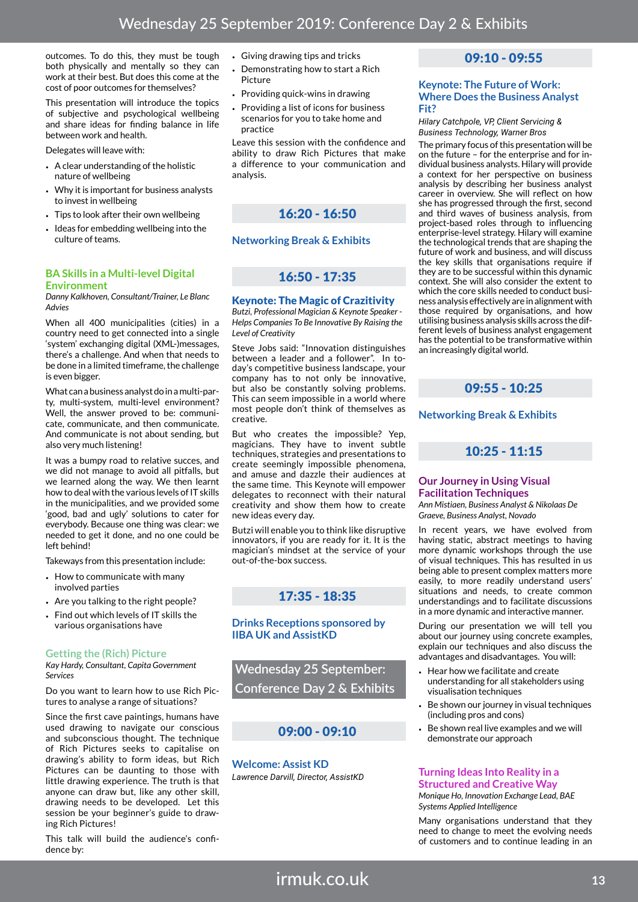outcomes. To do this, they must be tough both physically and mentally so they can work at their best. But does this come at the cost of poor outcomes for themselves?

This presentation will introduce the topics of subjective and psychological wellbeing and share ideas for finding balance in life between work and health.

Delegates will leave with:

- A clear understanding of the holistic nature of wellbeing
- Why it is important for business analysts to invest in wellbeing
- Tips to look after their own wellbeing
- Ideas for embedding wellbeing into the culture of teams.

#### **BA Skills in a Multi-level Digital Environment**

*Danny Kalkhoven, Consultant/Trainer, Le Blanc Advies*

When all 400 municipalities (cities) in a country need to get connected into a single 'system' exchanging digital (XML-)messages, there's a challenge. And when that needs to be done in a limited timeframe, the challenge is even bigger.

What can a business analyst do in a multi-party, multi-system, multi-level environment? Well, the answer proved to be: communicate, communicate, and then communicate. And communicate is not about sending, but also very much listening!

It was a bumpy road to relative succes, and we did not manage to avoid all pitfalls, but we learned along the way. We then learnt how to deal with the various levels of IT skills in the municipalities, and we provided some 'good, bad and ugly' solutions to cater for everybody. Because one thing was clear: we needed to get it done, and no one could be left behind!

Takeways from this presentation include:

- How to communicate with many involved parties
- Are you talking to the right people?
- Find out which levels of IT skills the various organisations have

### **Getting the (Rich) Picture**

*Kay Hardy, Consultant, Capita Government Services*

Do you want to learn how to use Rich Pictures to analyse a range of situations?

Since the first cave paintings, humans have used drawing to navigate our conscious and subconscious thought. The technique of Rich Pictures seeks to capitalise on drawing's ability to form ideas, but Rich Pictures can be daunting to those with little drawing experience. The truth is that anyone can draw but, like any other skill, drawing needs to be developed. Let this session be your beginner's guide to drawing Rich Pictures!

This talk will build the audience's confidence by:

- Giving drawing tips and tricks
- Demonstrating how to start a Rich Picture
- Providing quick-wins in drawing
- Providing a list of icons for business scenarios for you to take home and practice

Leave this session with the confidence and ability to draw Rich Pictures that make a difference to your communication and analysis.



### **Networking Break & Exhibits**

# 16:50 - 17:35

#### Keynote: The Magic of Crazitivity

*Butzi, Professional Magician & Keynote Speaker - Helps Companies To Be Innovative By Raising the Level of Creativity*

Steve Jobs said: "Innovation distinguishes between a leader and a follower". In today's competitive business landscape, your company has to not only be innovative, but also be constantly solving problems. This can seem impossible in a world where most people don't think of themselves as creative.

But who creates the impossible? Yep, magicians. They have to invent subtle techniques, strategies and presentations to create seemingly impossible phenomena, and amuse and dazzle their audiences at the same time. This Keynote will empower delegates to reconnect with their natural creativity and show them how to create new ideas every day.

Butzi will enable you to think like disruptive innovators, if you are ready for it. It is the magician's mindset at the service of your out-of-the-box success.

# 17:35 - 18:35

### **Drinks Receptions sponsored by IIBA UK and AssistKD**

**Wednesday 25 September: Conference Day 2 & Exhibits**

# 09:00 - 09:10

**Welcome: Assist KD** *Lawrence Darvill, Director, AssistKD*

# 09:10 - 09:55

#### **Keynote: The Future of Work: Where Does the Business Analyst Fit?**

*Hilary Catchpole, VP, Client Servicing & Business Technology, Warner Bros* 

The primary focus of this presentation will be on the future – for the enterprise and for individual business analysts. Hilary will provide a context for her perspective on business analysis by describing her business analyst career in overview. She will reflect on how she has progressed through the first, second and third waves of business analysis, from project-based roles through to influencing enterprise-level strategy. Hilary will examine the technological trends that are shaping the future of work and business, and will discuss the key skills that organisations require if they are to be successful within this dynamic context. She will also consider the extent to which the core skills needed to conduct business analysis effectively are in alignment with those required by organisations, and how utilising business analysis skills across the different levels of business analyst engagement has the potential to be transformative within an increasingly digital world.

09:55 - 10:25

**Networking Break & Exhibits**

# 10:25 - 11:15

#### **Our Journey in Using Visual Facilitation Techniques**

*Ann Mistiaen, Business Analyst & Nikolaas De Graeve, Business Analyst, Novado*

In recent years, we have evolved from having static, abstract meetings to having more dynamic workshops through the use of visual techniques. This has resulted in us being able to present complex matters more easily, to more readily understand users' situations and needs, to create common understandings and to facilitate discussions in a more dynamic and interactive manner.

During our presentation we will tell you about our journey using concrete examples, explain our techniques and also discuss the advantages and disadvantages. You will:

- Hear how we facilitate and create understanding for all stakeholders using visualisation techniques
- Be shown our journey in visual techniques (including pros and cons)
- Be shown real live examples and we will demonstrate our approach

#### **Turning Ideas Into Reality in a Structured and Creative Way**

*Monique Ho, Innovation Exchange Lead, BAE Systems Applied Intelligence*

Many organisations understand that they need to change to meet the evolving needs of customers and to continue leading in an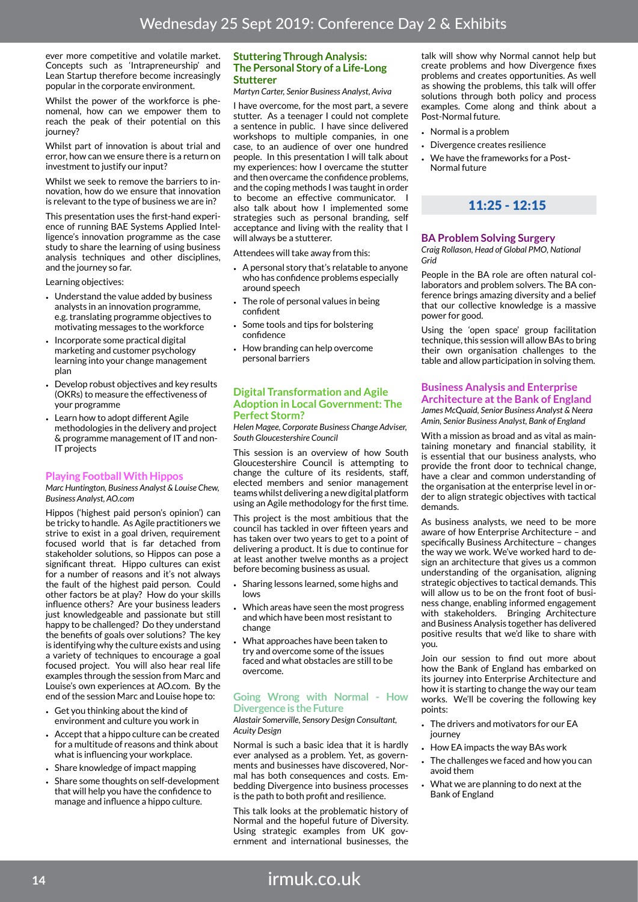ever more competitive and volatile market Concepts such as 'Intrapreneurship' and Lean Startup therefore become increasingly popular in the corporate environment.

Whilst the power of the workforce is phenomenal, how can we empower them to reach the peak of their potential on this journey?

Whilst part of innovation is about trial and error, how can we ensure there is a return on investment to justify our input?

Whilst we seek to remove the barriers to innovation, how do we ensure that innovation is relevant to the type of business we are in?

This presentation uses the first-hand experience of running BAE Systems Applied Intelligence's innovation programme as the case study to share the learning of using business analysis techniques and other disciplines, and the journey so far.

Learning objectives:

- Understand the value added by business analysts in an innovation programme, e.g. translating programme objectives to motivating messages to the workforce
- Incorporate some practical digital marketing and customer psychology learning into your change management plan
- Develop robust objectives and key results (OKRs) to measure the effectiveness of your programme
- Learn how to adopt different Agile methodologies in the delivery and project & programme management of IT and non-IT projects

### **Playing Football With Hippos**

*Marc Huntington, Business Analyst & Louise Chew, Business Analyst, AO.com*

Hippos ('highest paid person's opinion') can be tricky to handle. As Agile practitioners we strive to exist in a goal driven, requirement focused world that is far detached from stakeholder solutions, so Hippos can pose a significant threat. Hippo cultures can exist for a number of reasons and it's not always the fault of the highest paid person. Could other factors be at play? How do your skills influence others? Are your business leaders just knowledgeable and passionate but still happy to be challenged? Do they understand the benefits of goals over solutions? The key is identifying why the culture exists and using a variety of techniques to encourage a goal focused project. You will also hear real life examples through the session from Marc and Louise's own experiences at AO.com. By the end of the session Marc and Louise hope to:

- Get you thinking about the kind of environment and culture you work in
- Accept that a hippo culture can be created for a multitude of reasons and think about what is influencing your workplace.
- Share knowledge of impact mapping
- Share some thoughts on self-development that will help you have the confidence to manage and influence a hippo culture.

#### **Stuttering Through Analysis: The Personal Story of a Life-Long Stutterer**

*Martyn Carter, Senior Business Analyst, Aviva*

I have overcome, for the most part, a severe stutter. As a teenager I could not complete a sentence in public. I have since delivered workshops to multiple companies, in one case, to an audience of over one hundred people. In this presentation I will talk about my experiences: how I overcame the stutter and then overcame the confidence problems, and the coping methods I was taught in order to become an effective communicator. I also talk about how I implemented some strategies such as personal branding, self acceptance and living with the reality that I will always be a stutterer.

Attendees will take away from this:

- A personal story that's relatable to anyone who has confidence problems especially around speech
- The role of personal values in being confident
- Some tools and tips for bolstering confidence
- How branding can help overcome personal barriers

#### **Digital Transformation and Agile Adoption in Local Government: The Perfect Storm?**

*Helen Magee, Corporate Business Change Adviser, South Gloucestershire Council*

This session is an overview of how South Gloucestershire Council is attempting to change the culture of its residents, staff, elected members and senior management teams whilst delivering a new digital platform using an Agile methodology for the first time.

This project is the most ambitious that the council has tackled in over fifteen years and has taken over two years to get to a point of delivering a product. It is due to continue for at least another twelve months as a project before becoming business as usual.

- Sharing lessons learned, some highs and lows
- Which areas have seen the most progress and which have been most resistant to change
- What approaches have been taken to try and overcome some of the issues faced and what obstacles are still to be overcome.

#### **Going Wrong with Normal - How Divergence is the Future**

*Alastair Somerville, Sensory Design Consultant, Acuity Design*

Normal is such a basic idea that it is hardly ever analysed as a problem. Yet, as governments and businesses have discovered, Normal has both consequences and costs. Embedding Divergence into business processes is the path to both profit and resilience.

This talk looks at the problematic history of Normal and the hopeful future of Diversity. Using strategic examples from UK government and international businesses, the

talk will show why Normal cannot help but create problems and how Divergence fixes problems and creates opportunities. As well as showing the problems, this talk will offer solutions through both policy and process examples. Come along and think about a Post-Normal future.

- Normal is a problem
- Divergence creates resilience
- We have the frameworks for a Post-Normal future

# 11:25 - 12:15

## **BA Problem Solving Surgery**

*Craig Rollason, Head of Global PMO, National Grid* 

People in the BA role are often natural collaborators and problem solvers. The BA conference brings amazing diversity and a belief that our collective knowledge is a massive power for good.

Using the 'open space' group facilitation technique, this session will allow BAs to bring their own organisation challenges to the table and allow participation in solving them.

#### **Business Analysis and Enterprise Architecture at the Bank of England** *James McQuaid, Senior Business Analyst & Neera*

*Amin, Senior Business Analyst, Bank of England*

With a mission as broad and as vital as maintaining monetary and financial stability, it is essential that our business analysts, who provide the front door to technical change, have a clear and common understanding of the organisation at the enterprise level in order to align strategic objectives with tactical demands.

As business analysts, we need to be more aware of how Enterprise Architecture – and specifically Business Architecture – changes the way we work. We've worked hard to design an architecture that gives us a common understanding of the organisation, aligning strategic objectives to tactical demands. This will allow us to be on the front foot of business change, enabling informed engagement with stakeholders. Bringing Architecture and Business Analysis together has delivered positive results that we'd like to share with you.

Join our session to find out more about how the Bank of England has embarked on its journey into Enterprise Architecture and how it is starting to change the way our team works. We'll be covering the following key points:

- The drivers and motivators for our EA journey
- How EA impacts the way BAs work
- The challenges we faced and how you can avoid them
- What we are planning to do next at the Bank of England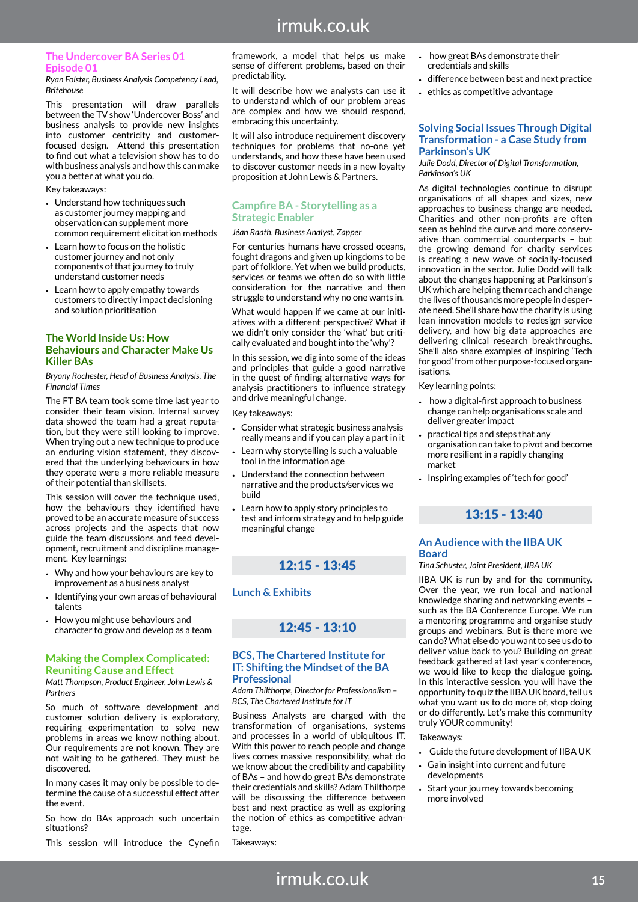# **The Undercover BA Series 01 Episode 01**

*Ryan Folster, Business Analysis Competency Lead, Britehouse*

This presentation will draw parallels between the TV show 'Undercover Boss' and business analysis to provide new insights into customer centricity and customerfocused design. Attend this presentation to find out what a television show has to do with business analysis and how this can make you a better at what you do.

#### Key takeaways:

- Understand how techniques such as customer journey mapping and observation can supplement more common requirement elicitation methods
- Learn how to focus on the holistic customer journey and not only components of that journey to truly understand customer needs
- Learn how to apply empathy towards customers to directly impact decisioning and solution prioritisation

#### **The World Inside Us: How Behaviours and Character Make Us Killer BAs**

*Bryony Rochester, Head of Business Analysis, The Financial Times*

The FT BA team took some time last year to consider their team vision. Internal survey data showed the team had a great reputation, but they were still looking to improve. When trying out a new technique to produce an enduring vision statement, they discovered that the underlying behaviours in how they operate were a more reliable measure of their potential than skillsets.

This session will cover the technique used, how the behaviours they identified have proved to be an accurate measure of success across projects and the aspects that now guide the team discussions and feed development, recruitment and discipline management. Key learnings:

- Why and how your behaviours are key to improvement as a business analyst
- Identifying your own areas of behavioural talents
- How you might use behaviours and character to grow and develop as a team

#### **Making the Complex Complicated: Reuniting Cause and Effect**

*Matt Thompson, Product Engineer, John Lewis & Partners*

So much of software development and customer solution delivery is exploratory, requiring experimentation to solve new problems in areas we know nothing about. Our requirements are not known. They are not waiting to be gathered. They must be discovered.

In many cases it may only be possible to determine the cause of a successful effect after the event.

So how do BAs approach such uncertain situations?

This session will introduce the Cynefin

framework, a model that helps us make sense of different problems, based on their predictability.

It will describe how we analysts can use it to understand which of our problem areas are complex and how we should respond, embracing this uncertainty.

It will also introduce requirement discovery techniques for problems that no-one yet understands, and how these have been used to discover customer needs in a new loyalty proposition at John Lewis & Partners.

#### **Campfire BA - Storytelling as a Strategic Enabler**

#### *Jéan Raath, Business Analyst, Zapper*

For centuries humans have crossed oceans, fought dragons and given up kingdoms to be part of folklore. Yet when we build products, services or teams we often do so with little consideration for the narrative and then struggle to understand why no one wants in.

What would happen if we came at our initiatives with a different perspective? What if we didn't only consider the 'what' but critically evaluated and bought into the 'why'?

In this session, we dig into some of the ideas and principles that guide a good narrative in the quest of finding alternative ways for analysis practitioners to influence strategy and drive meaningful change.

#### Key takeaways:

- Consider what strategic business analysis really means and if you can play a part in it
- Learn why storytelling is such a valuable tool in the information age
- Understand the connection between narrative and the products/services we build
- Learn how to apply story principles to test and inform strategy and to help guide meaningful change

# 12:15 - 13:45

### **Lunch & Exhibits**

# 12:45 - 13:10

#### **BCS, The Chartered Institute for IT: Shifting the Mindset of the BA Professional**

*Adam Thilthorpe, Director for Professionalism – BCS, The Chartered Institute for IT*

Business Analysts are charged with the transformation of organisations, systems and processes in a world of ubiquitous IT. With this power to reach people and change lives comes massive responsibility, what do we know about the credibility and capability of BAs – and how do great BAs demonstrate their credentials and skills? Adam Thilthorpe will be discussing the difference between best and next practice as well as exploring the notion of ethics as competitive advantage.

irmuk.co.uk

Takeaways:

- how great BAs demonstrate their credentials and skills
- difference between best and next practice
- ethics as competitive advantage

#### **Solving Social Issues Through Digital Transformation - a Case Study from Parkinson's UK**

*Julie Dodd, Director of Digital Transformation, Parkinson's UK*

As digital technologies continue to disrupt organisations of all shapes and sizes, new approaches to business change are needed. Charities and other non-profits are often seen as behind the curve and more conservative than commercial counterparts – but the growing demand for charity services is creating a new wave of socially-focused innovation in the sector. Julie Dodd will talk about the changes happening at Parkinson's UK which are helping them reach and change the lives of thousands more people in desperate need. She'll share how the charity is using lean innovation models to redesign service delivery, and how big data approaches are delivering clinical research breakthroughs. She'll also share examples of inspiring 'Tech for good' from other purpose-focused organisations.

Key learning points:

- how a digital-first approach to business change can help organisations scale and deliver greater impact
- practical tips and steps that any organisation can take to pivot and become more resilient in a rapidly changing market
- Inspiring examples of 'tech for good'

# 13:15 - 13:40

#### **An Audience with the IIBA UK Board**

#### *Tina Schuster, Joint President, IIBA UK*

IIBA UK is run by and for the community. Over the year, we run local and national knowledge sharing and networking events – such as the BA Conference Europe. We run a mentoring programme and organise study groups and webinars. But is there more we can do? What else do you want to see us do to deliver value back to you? Building on great feedback gathered at last year's conference, we would like to keep the dialogue going. In this interactive session, you will have the opportunity to quiz the IIBA UK board, tell us what you want us to do more of, stop doing or do differently. Let's make this community truly YOUR community!

Takeaways:

- Guide the future development of IIBA UK
- Gain insight into current and future developments
- Start your journey towards becoming more involved

**15**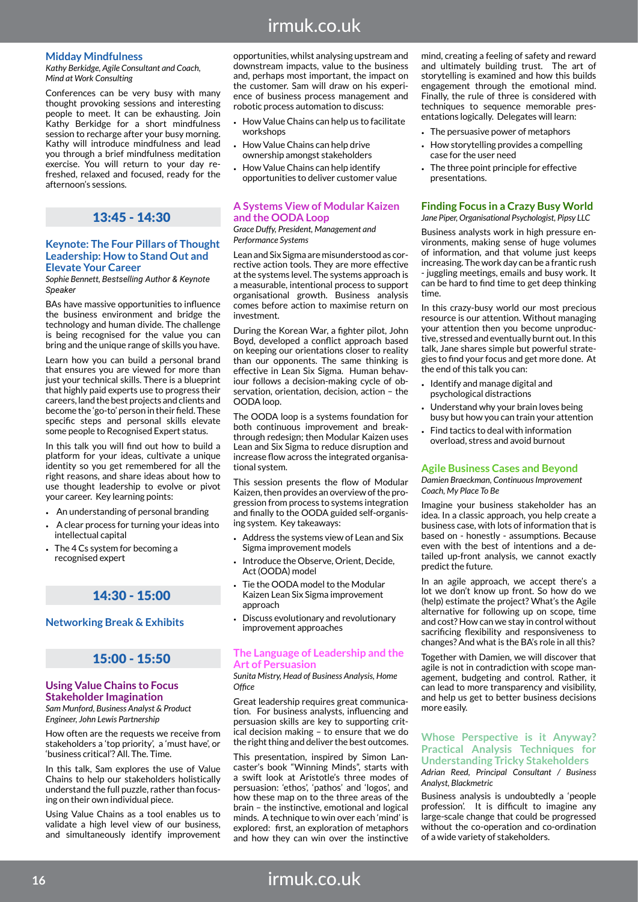# irmuk.co.uk

#### **Midday Mindfulness**

*Kathy Berkidge, Agile Consultant and Coach, Mind at Work Consulting* 

Conferences can be very busy with many thought provoking sessions and interesting people to meet. It can be exhausting. Join Kathy Berkidge for a short mindfulness session to recharge after your busy morning. Kathy will introduce mindfulness and lead you through a brief mindfulness meditation exercise. You will return to your day refreshed, relaxed and focused, ready for the afternoon's sessions.

# 13:45 - 14:30

#### **Keynote: The Four Pillars of Thought Leadership: How to Stand Out and Elevate Your Career**

*Sophie Bennett, Bestselling Author & Keynote Speaker*

BAs have massive opportunities to influence the business environment and bridge the technology and human divide. The challenge is being recognised for the value you can bring and the unique range of skills you have.

Learn how you can build a personal brand that ensures you are viewed for more than just your technical skills. There is a blueprint that highly paid experts use to progress their careers, land the best projects and clients and become the 'go-to' person in their field. These specific steps and personal skills elevate some people to Recognised Expert status.

In this talk you will find out how to build a platform for your ideas, cultivate a unique identity so you get remembered for all the right reasons, and share ideas about how to use thought leadership to evolve or pivot your career. Key learning points:

- An understanding of personal branding
- A clear process for turning your ideas into intellectual capital
- The 4 Cs system for becoming a recognised expert

## 14:30 - 15:00

### **Networking Break & Exhibits**

## 15:00 - 15:50

### **Using Value Chains to Focus Stakeholder Imagination**

*Sam Munford, Business Analyst & Product Engineer, John Lewis Partnership*

How often are the requests we receive from stakeholders a 'top priority', a 'must have', or 'business critical'? All. The. Time.

In this talk, Sam explores the use of Value Chains to help our stakeholders holistically understand the full puzzle, rather than focusing on their own individual piece.

Using Value Chains as a tool enables us to validate a high level view of our business, and simultaneously identify improvement opportunities, whilst analysing upstream and downstream impacts, value to the business and, perhaps most important, the impact on the customer. Sam will draw on his experience of business process management and robotic process automation to discuss:

- How Value Chains can help us to facilitate workshops
- How Value Chains can help drive ownership amongst stakeholders
- How Value Chains can help identify opportunities to deliver customer value

#### **A Systems View of Modular Kaizen and the OODA Loop**

*Grace Duffy, President, Management and Performance Systems*

Lean and Six Sigma are misunderstood as corrective action tools. They are more effective at the systems level. The systems approach is a measurable, intentional process to support organisational growth. Business analysis comes before action to maximise return on investment.

During the Korean War, a fighter pilot, John Boyd, developed a conflict approach based on keeping our orientations closer to reality than our opponents. The same thinking is effective in Lean Six Sigma. Human behaviour follows a decision-making cycle of observation, orientation, decision, action – the OODA loop.

The OODA loop is a systems foundation for both continuous improvement and breakthrough redesign; then Modular Kaizen uses Lean and Six Sigma to reduce disruption and increase flow across the integrated organisational system.

This session presents the flow of Modular Kaizen, then provides an overview of the progression from process to systems integration and finally to the OODA guided self-organising system. Key takeaways:

- Address the systems view of Lean and Six Sigma improvement models
- Introduce the Observe, Orient, Decide, Act (OODA) model
- Tie the OODA model to the Modular Kaizen Lean Six Sigma improvement approach
- Discuss evolutionary and revolutionary improvement approaches

#### **The Language of Leadership and the Art of Persuasion**

*Sunita Mistry, Head of Business Analysis, Home Office*

Great leadership requires great communication. For business analysts, influencing and persuasion skills are key to supporting critical decision making – to ensure that we do the right thing and deliver the best outcomes.

This presentation, inspired by Simon Lancaster's book "Winning Minds", starts with a swift look at Aristotle's three modes of persuasion: 'ethos', 'pathos' and 'logos', and how these map on to the three areas of the brain – the instinctive, emotional and logical minds. A technique to win over each 'mind' is explored: first, an exploration of metaphors and how they can win over the instinctive

mind, creating a feeling of safety and reward and ultimately building trust. The art of storytelling is examined and how this builds engagement through the emotional mind. Finally, the rule of three is considered with techniques to sequence memorable presentations logically. Delegates will learn:

- The persuasive power of metaphors
- How storytelling provides a compelling case for the user need
- The three point principle for effective presentations.

#### **Finding Focus in a Crazy Busy World** *Jane Piper, Organisational Psychologist, Pipsy LLC*

Business analysts work in high pressure environments, making sense of huge volumes of information, and that volume just keeps increasing. The work day can be a frantic rush - juggling meetings, emails and busy work. It can be hard to find time to get deep thinking time.

In this crazy-busy world our most precious resource is our attention. Without managing your attention then you become unproductive, stressed and eventually burnt out. In this talk, Jane shares simple but powerful strategies to find your focus and get more done. At the end of this talk you can:

- Identify and manage digital and psychological distractions
- Understand why your brain loves being busy but how you can train your attention
- Find tactics to deal with information overload, stress and avoid burnout

#### **Agile Business Cases and Beyond**

*Damien Braeckman, Continuous Improvement Coach, My Place To Be*

Imagine your business stakeholder has an idea. In a classic approach, you help create a business case, with lots of information that is based on - honestly - assumptions. Because even with the best of intentions and a detailed up-front analysis, we cannot exactly predict the future.

In an agile approach, we accept there's a lot we don't know up front. So how do we (help) estimate the project? What's the Agile alternative for following up on scope, time and cost? How can we stay in control without sacrificing flexibility and responsiveness to changes? And what is the BA's role in all this?

Together with Damien, we will discover that agile is not in contradiction with scope management, budgeting and control. Rather, it can lead to more transparency and visibility, and help us get to better business decisions more easily.

### **Whose Perspective is it Anyway? Practical Analysis Techniques for Understanding Tricky Stakeholders**

*Adrian Reed, Principal Consultant / Business Analyst, Blackmetric*

Business analysis is undoubtedly a 'people profession'. It is difficult to imagine any large-scale change that could be progressed without the co-operation and co-ordination of a wide variety of stakeholders.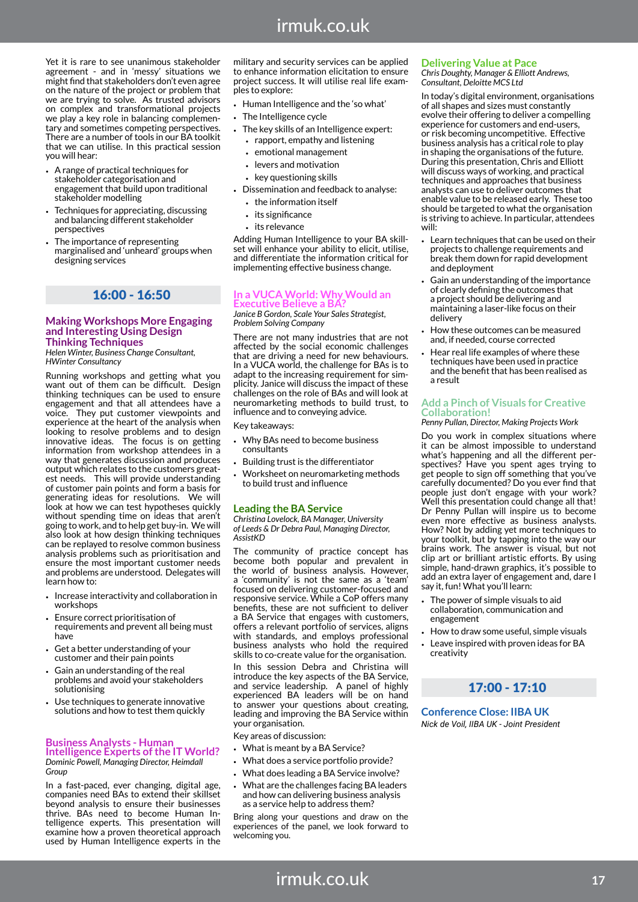Yet it is rare to see unanimous stakeholder agreement - and in 'messy' situations we might find that stakeholders don't even agree on the nature of the project or problem that we are trying to solve. As trusted advisors on complex and transformational projects we play a key role in balancing complementary and sometimes competing perspectives. There are a number of tools in our BA toolkit that we can utilise. In this practical session you will hear:

- A range of practical techniques for stakeholder categorisation and engagement that build upon traditional stakeholder modelling
- Techniques for appreciating, discussing and balancing different stakeholder perspectives
- The importance of representing marginalised and 'unheard' groups when designing services

### 16:00 - 16:50

#### **Making Workshops More Engaging and Interesting Using Design Thinking Techniques**

*Helen Winter, Business Change Consultant, HWinter Consultancy*

Running workshops and getting what you want out of them can be difficult. Design thinking techniques can be used to ensure engagement and that all attendees have a voice. They put customer viewpoints and experience at the heart of the analysis when looking to resolve problems and to design innovative ideas. The focus is on getting information from workshop attendees in a way that generates discussion and produces output which relates to the customers greatest needs. This will provide understanding of customer pain points and form a basis for generating ideas for resolutions. We will look at how we can test hypotheses quickly without spending time on ideas that aren't going to work, and to help get buy-in. We will also look at how design thinking techniques can be replayed to resolve common business analysis problems such as prioritisation and ensure the most important customer needs and problems are understood. Delegates will learn how to:

- Increase interactivity and collaboration in workshops
- Ensure correct prioritisation of requirements and prevent all being must have
- Get a better understanding of your customer and their pain points
- Gain an understanding of the real problems and avoid your stakeholders solutionising
- Use techniques to generate innovative solutions and how to test them quickly

#### **Business Analysts - Human**

**Intelligence Experts of the IT World?** *Dominic Powell, Managing Director, Heimdall Group*

In a fast-paced, ever changing, digital age, companies need BAs to extend their skillset beyond analysis to ensure their businesses thrive. BAs need to become Human Intelligence experts. This presentation will examine how a proven theoretical approach used by Human Intelligence experts in the

military and security services can be applied to enhance information elicitation to ensure project success. It will utilise real life examples to explore:

- Human Intelligence and the 'so what'
- The Intelligence cycle
- The key skills of an Intelligence expert: • rapport, empathy and listening
	- emotional management
	- levers and motivation
	- key questioning skills
- Dissemination and feedback to analyse:
	- the information itself
	- its significance
	- its relevance

Adding Human Intelligence to your BA skillset will enhance your ability to elicit, utilise, and differentiate the information critical for implementing effective business change.

#### **In a VUCA World: Why Would an Executive Believe a BA?**

*Janice B Gordon, Scale Your Sales Strategist, Problem Solving Company*

There are not many industries that are not affected by the social economic challenges that are driving a need for new behaviours. In a VUCA world, the challenge for BAs is to adapt to the increasing requirement for simplicity. Janice will discuss the impact of these challenges on the role of BAs and will look at neuromarketing methods to build trust, to influence and to conveying advice.

Key takeaways:

- Why BAs need to become business consultants
- Building trust is the differentiator
- Worksheet on neuromarketing methods to build trust and influence

#### **Leading the BA Service**

*Christina Lovelock, BA Manager, University of Leeds & Dr Debra Paul, Managing Director, AssistKD*

The community of practice concept has become both popular and prevalent in the world of business analysis. However, a 'community' is not the same as a 'team' focused on delivering customer-focused and responsive service. While a CoP offers many benefits, these are not sufficient to deliver a BA Service that engages with customers, offers a relevant portfolio of services, aligns with standards, and employs professional business analysts who hold the required skills to co-create value for the organisation.

In this session Debra and Christina will introduce the key aspects of the BA Service, and service leadership. A panel of highly experienced BA leaders will be on hand to answer your questions about creating, leading and improving the BA Service within your organisation.

Key areas of discussion:

- What is meant by a BA Service?
- What does a service portfolio provide?
- What does leading a BA Service involve?
- What are the challenges facing BA leaders and how can delivering business analysis as a service help to address them?

Bring along your questions and draw on the experiences of the panel, we look forward to welcoming you.

## **Delivering Value at Pace**

*Chris Doughty, Manager & Elliott Andrews, Consultant, Deloitte MCS Ltd*

In today's digital environment, organisations of all shapes and sizes must constantly evolve their offering to deliver a compelling experience for customers and end-users, or risk becoming uncompetitive. Effective business analysis has a critical role to play in shaping the organisations of the future. During this presentation, Chris and Elliott will discuss ways of working, and practical techniques and approaches that business analysts can use to deliver outcomes that enable value to be released early. These too should be targeted to what the organisation is striving to achieve. In particular, attendees will:

- Learn techniques that can be used on their projects to challenge requirements and break them down for rapid development and deployment
- Gain an understanding of the importance of clearly defining the outcomes that a project should be delivering and maintaining a laser-like focus on their delivery
- How these outcomes can be measured and, if needed, course corrected
- Hear real life examples of where these techniques have been used in practice and the benefit that has been realised as a result

#### **Add a Pinch of Visuals for Creative Collaboration!**

#### *Penny Pullan, Director, Making Projects Work*

Do you work in complex situations where it can be almost impossible to understand what's happening and all the different perspectives? Have you spent ages trying to get people to sign off something that you've carefully documented? Do you ever find that people just don't engage with your work? Well this presentation could change all that! Dr Penny Pullan will inspire us to become even more effective as business analysts. How? Not by adding yet more techniques to your toolkit, but by tapping into the way our brains work. The answer is visual, but not clip art or brilliant artistic efforts. By using simple, hand-drawn graphics, it's possible to add an extra layer of engagement and, dare I say it, fun! What you'll learn:

- The power of simple visuals to aid collaboration, communication and engagement
- How to draw some useful, simple visuals
- Leave inspired with proven ideas for BA creativity

# 17:00 - 17:10

**Conference Close: IIBA UK** *Nick de Voil, IIBA UK - Joint President*